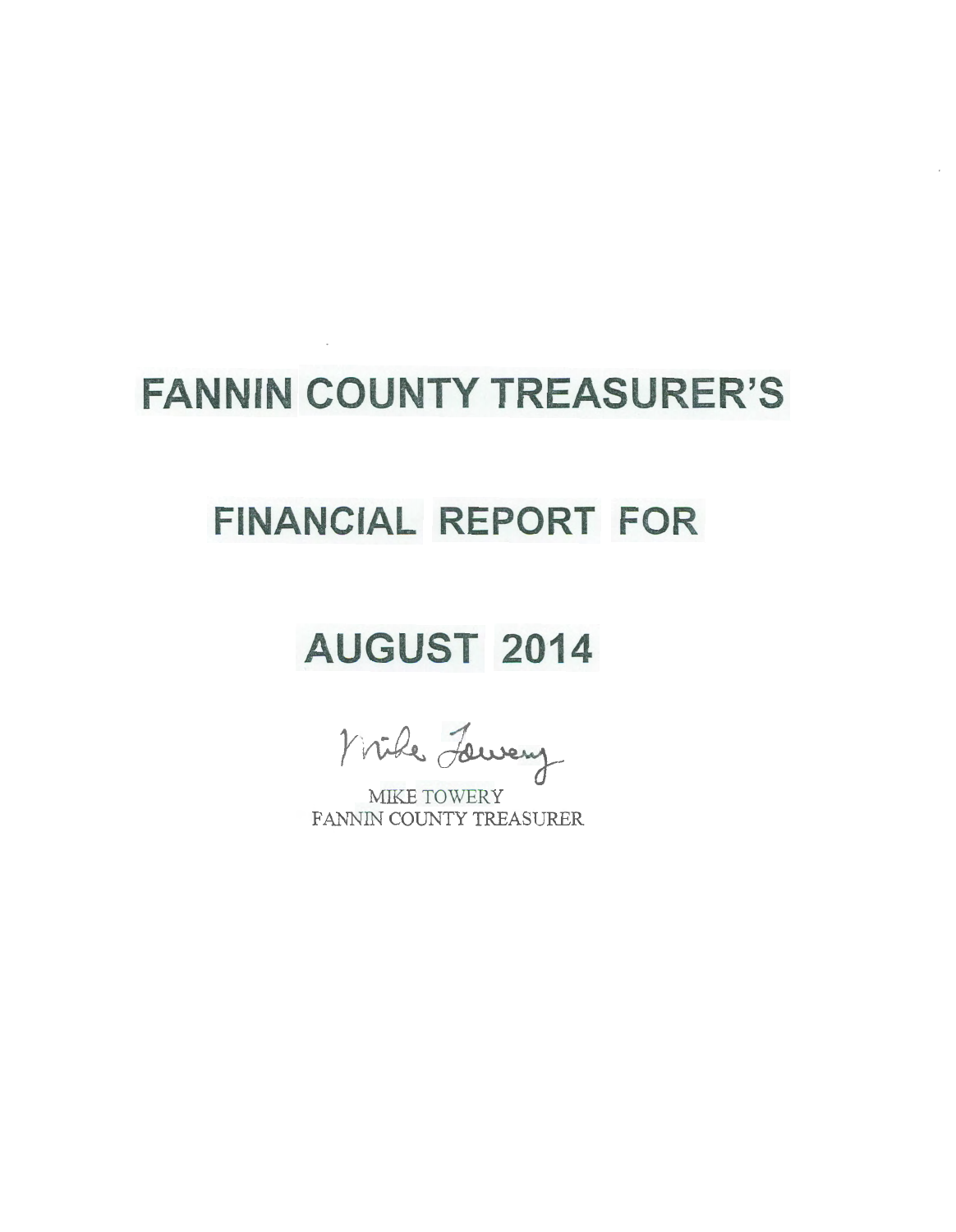# **FANNIN COUNTY TREASURER'S**

 $\sim$ 

## **FINANCIAL REPORT FOR**

# **AUGUST 2014**

Mike Lewey

MIKE TOWERY FANNIN COUNTY TREASURER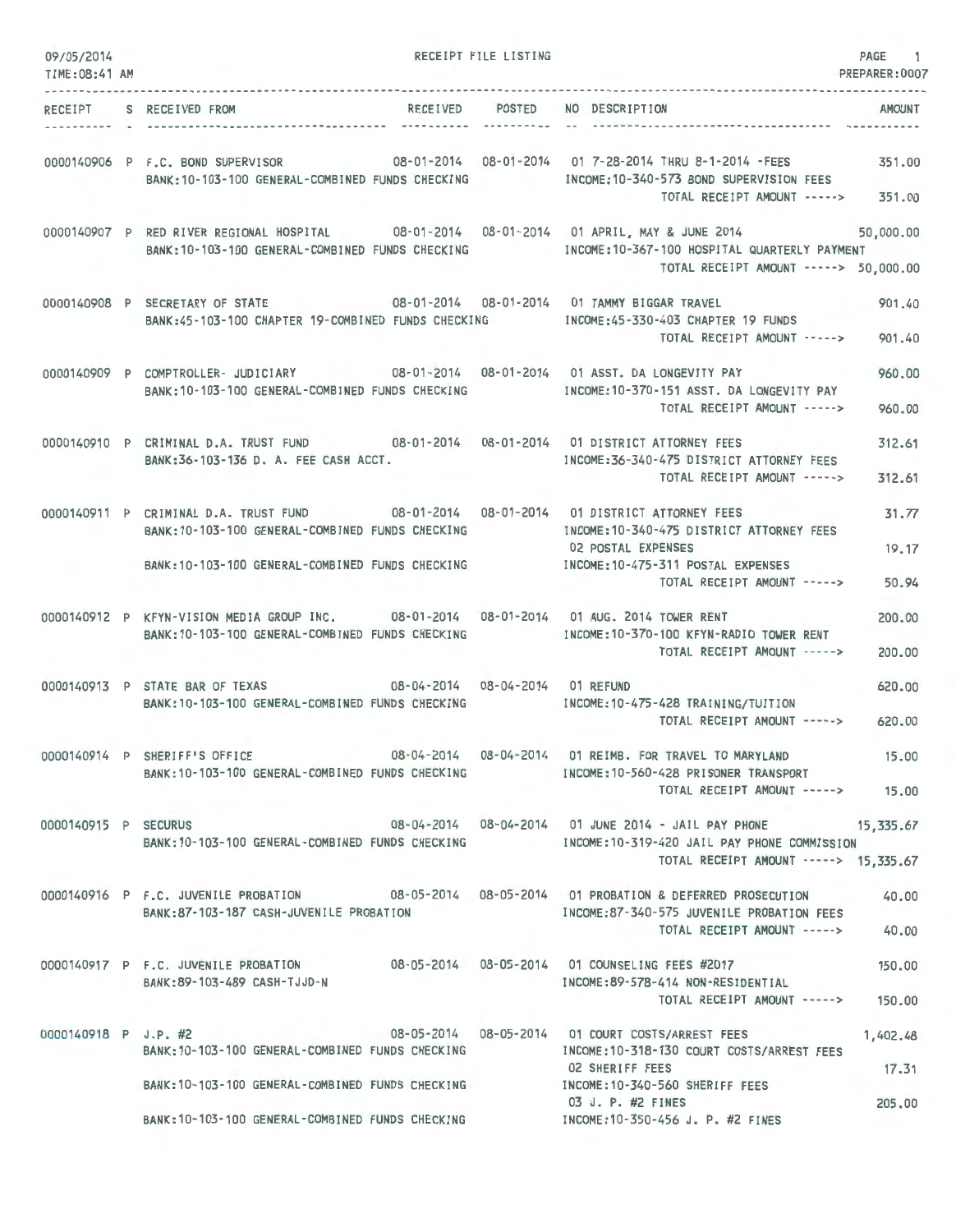| 09/05/2014<br>TIME:08:41 AM |                                                                                                                                             |                 | RECEIPT FILE LISTING |                                                                                                                                                                                   | PAGE 1<br>PREPARER:0007 |
|-----------------------------|---------------------------------------------------------------------------------------------------------------------------------------------|-----------------|----------------------|-----------------------------------------------------------------------------------------------------------------------------------------------------------------------------------|-------------------------|
| RECEIPT                     | S RECEIVED FROM                                                                                                                             | RECEIVED POSTED | -----------          | NO DESCRIPTION                                                                                                                                                                    | AMOUNT                  |
|                             | 0000140906 P F.C. BOND SUPERVISOR<br>BANK: 10-103-100 GENERAL-COMBINED FUNDS CHECKING                                                       |                 |                      | INCOME:10-340-573 BOND SUPERVISION FEES<br>TOTAL RECEIPT AMOUNT ----->                                                                                                            | 351,00<br>351.00        |
|                             | BANK: 10-103-100 GENERAL-COMBINED FUNDS CHECKING                                                                                            |                 |                      | 0000140907 P RED RIVER REGIONAL HOSPITAL 08-01-2014 08-01-2014 01 APRIL, MAY & JUNE 2014<br>INCOME:10-367-100 HOSPITAL QUARTERLY PAYMENT<br>TOTAL RECEIPT AMOUNT -----> 50,000.00 | 50,000.00               |
|                             | 0000140908 P SECRETARY OF STATE 08-01-2014 08-01-2014 01 TAMMY BIGGAR TRAVEL<br>BANK:45-103-100 CHAPTER 19-COMBINED FUNDS CHECKING          |                 |                      | INCOME:45-330-403 CHAPTER 19 FUNDS<br>TOTAL RECEIPT AMOUNT ----->                                                                                                                 | 901.40<br>901,40        |
|                             | 0000140909 P COMPTROLLER- JUDICIARY 08-01-2014 08-01-2014 01 ASST. DA LONGEVITY PAY<br>BANK:10-103-100 GENERAL-COMBINED FUNDS CHECKING      |                 |                      | INCOME:10-370-151 ASST. DA LONGEVITY PAY<br>TOTAL RECEIPT AMOUNT ----->                                                                                                           | 960,00<br>960.00        |
|                             | 0000140910 P CRIMINAL D.A. TRUST FUND 08-01-2014 08-01-2014 01 DISTRICT ATTORNEY FEES<br>BANK:36-103-136 D. A. FEE CASH ACCT.               |                 |                      | INCOME: 36-340-475 DISTRICT ATTORNEY FEES<br>TOTAL RECEIPT AMOUNT ----->                                                                                                          | 312.61<br>312.61        |
|                             | 0000140911 P CRIMINAL D.A. TRUST FUND<br>BANK: 10-103-100 GENERAL-COMBINED FUNDS CHECKING                                                   |                 |                      | INCOME:10-340-475 DISTRICT ATTORNEY FEES                                                                                                                                          | 31.77                   |
|                             | BANK:10-103-100 GENERAL-COMBINED FUNDS CHECKING                                                                                             |                 |                      | 02 POSTAL EXPENSES<br>INCOME: 10-475-311 POSTAL EXPENSES<br>TOTAL RECEIPT AMOUNT ----->                                                                                           | 19.17<br>50.94          |
|                             | 0000140912 P KFYN-VISION MEDIA GROUP INC. 08-01-2014 08-01-2014 01 AUG. 2014 TOWER RENT<br>BANK: 10-103-100 GENERAL-COMBINED FUNDS CHECKING |                 |                      | INCOME:10-370-100 KFYN-RADIO TOWER RENT<br>TOTAL RECEIPT AMOUNT ----->                                                                                                            | 200.00<br>200.00        |
|                             | 0000140913 P STATE BAR OF TEXAS 08-04-2014 08-04-2014 01 REFUND<br>BANK: 10-103-100 GENERAL-COMBINED FUNDS CHECKING                         |                 |                      | INCOME:10-475-428 TRAINING/TUITION<br>TOTAL RECEIPT AMOUNT ----->                                                                                                                 | 620,00<br>620,00        |
|                             | 0000140914 P SHERIFF'S OFFICE<br>BANK:10-103-100 GENERAL-COMBINED FUNDS CHECKING                                                            |                 |                      | 08-04-2014  08-04-2014  01 REIMB. FOR TRAVEL TO MARYLAND<br>INCOME: 10-560-428 PRISONER TRANSPORT<br>TOTAL RECEIPT AMOUNT -----> 15.00                                            | 15.00                   |
| 0000140915 P SECURUS        | BANK:10-103-100 GENERAL-COMBINED FUNDS CHECKING                                                                                             |                 |                      | 08-04-2014  08-04-2014  01 JUNE  2014 - JAIL PAY PHONE  15,335.67<br>INCOME:10-319-420 JAIL PAY PHONE COMMISSION<br>TOTAL RECEIPT AMOUNT -----> 15,335.67                         |                         |
|                             | BANK:87-103-187 CASH-JUVENILE PROBATION                                                                                                     |                 |                      | 0000140916 P F.C. JUVENILE PROBATION 08-05-2014 08-05-2014 01 PROBATION & DEFERRED PROSECUTION<br>INCOME:87-340-575 JUVENILE PROBATION FEES<br>TOTAL RECEIPT AMOUNT ----->        | 40.00<br>40,00          |
|                             | 0000140917 P F.C. JUVENILE PROBATION 08-05-2014 08-05-2014 01 COUNSELING FEES #2017<br>BANK:89-103-489 CASH-TJJD-N                          |                 |                      | INCOME:89-578-414 NON-RESIDENTIAL<br>TOTAL RECEIPT AMOUNT -----> 150.00                                                                                                           | 150.00                  |
|                             | 0000140918 P J.P. #2 08-05-2014 08-05-2014 01 COURT COSTS/ARREST FEES<br>BANK: 10-103-100 GENERAL-COMBINED FUNDS CHECKING                   |                 |                      | INCOME:10-318-130 COURT COSTS/ARREST FEES                                                                                                                                         | 1,402.48                |
|                             | BANK: 10-103-100 GENERAL-COMBINED FUNDS CHECKING                                                                                            |                 |                      | 02 SHERIFF FEES<br>INCOME:10-340-560 SHERIFF FEES                                                                                                                                 | 17.31                   |
|                             | BANK:10-103-100 GENERAL-COMBINED FUNDS CHECKING                                                                                             |                 |                      | 03 J. P. #2 FINES<br>INCOME: 10-350-456 J. P. #2 FINES                                                                                                                            | 205,00                  |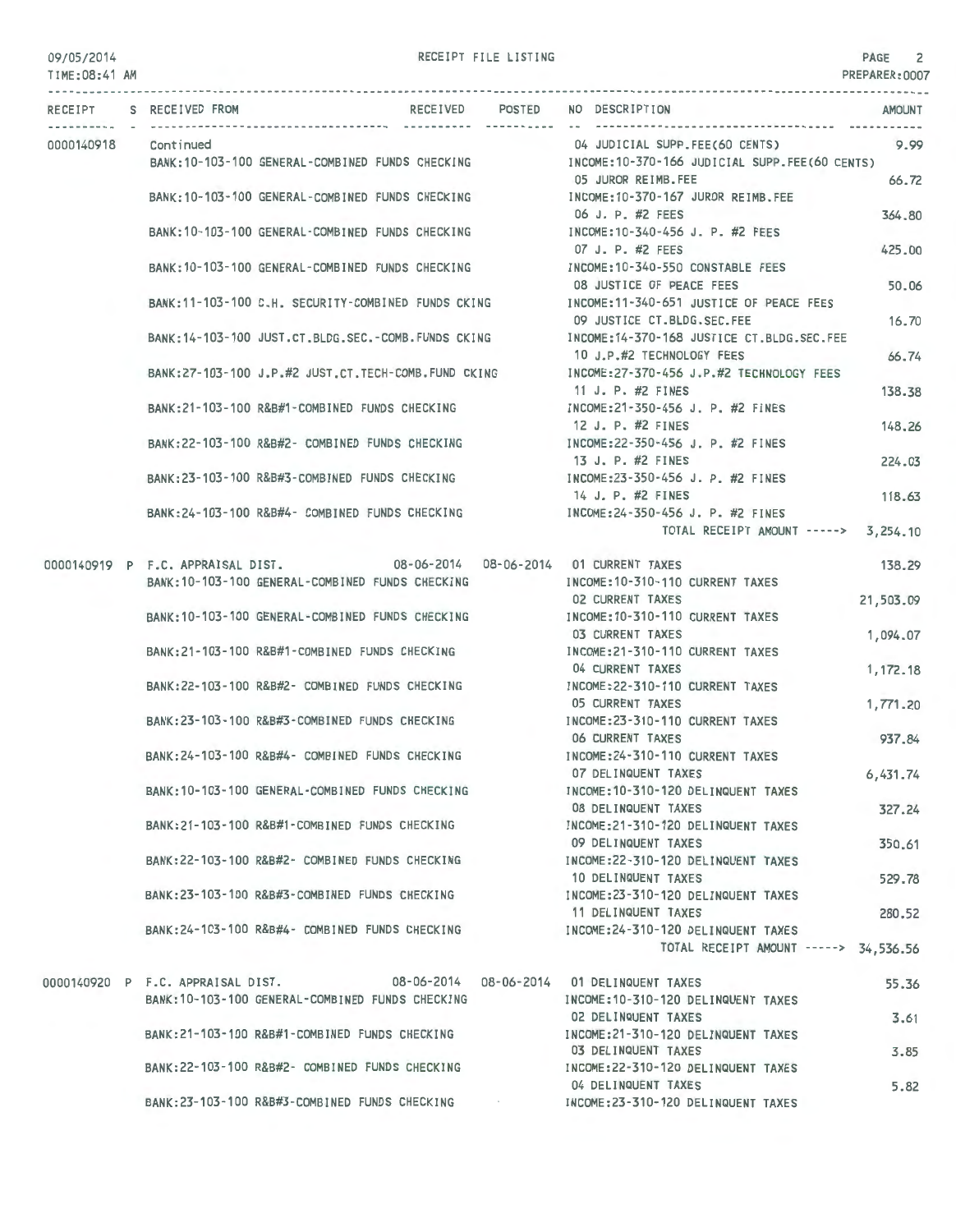| 09/05/2014<br>TIME: 08:41 AM |                                   | --------------------------                          | RECEIPT FILE LISTING |                                                                          | PAGE<br>PREPARER: 0007 |
|------------------------------|-----------------------------------|-----------------------------------------------------|----------------------|--------------------------------------------------------------------------|------------------------|
|                              | RECEIPT S RECEIVED FROM           | RECEIVED                                            | POSTED               | NO DESCRIPTION                                                           | <b>AMOUNT</b>          |
| 0000140918                   | Cont inued                        |                                                     |                      | 04 JUDICIAL SUPP.FEE(60 CENTS)                                           | 9.99                   |
|                              |                                   | BANK:10-103-100 GENERAL-COMBINED FUNDS CHECKING     |                      | INCOME:10-370-166 JUDICIAL SUPP.FEE(60 CENTS)                            |                        |
|                              |                                   |                                                     |                      | 05 JUROR REIMB.FEE                                                       | 66.72                  |
|                              |                                   | BANK: 10-103-100 GENERAL-COMBINED FUNDS CHECKING    |                      | INCOME:10-370-167 JUROR REIMB, FEE                                       |                        |
|                              |                                   |                                                     |                      | 06 J. P. #2 FEES                                                         | 364,80                 |
|                              |                                   | BANK: 10-103-100 GENERAL-COMBINED FUNDS CHECKING    |                      | INCOME:10-340-456 J. P. #2 FEES                                          |                        |
|                              |                                   |                                                     |                      | 07 J. P. #2 FEES                                                         | 425.00                 |
|                              |                                   | BANK:10-103-100 GENERAL-COMBINED FUNDS CHECKING     |                      | INCOME: 10-340-550 CONSTABLE FEES                                        |                        |
|                              |                                   |                                                     |                      | 08 JUSTICE OF PEACE FEES<br>INCOME:11-340-651 JUSTICE OF PEACE FEES      | 50.06                  |
|                              |                                   | BANK:11-103-100 C.H. SECURITY-COMBINED FUNDS CKING  |                      | 09 JUSTICE CT.BLDG.SEC.FEE                                               | 16.70                  |
|                              |                                   | BANK:14-103-100 JUST.CT.BLDG.SEC.-COMB.FUNDS CKING  |                      | INCOME: 14-370-168 JUSTICE CT.BLDG.SEC.FEE                               |                        |
|                              |                                   |                                                     |                      | 10 J.P.#2 TECHNOLOGY FEES                                                | 66.74                  |
|                              |                                   | BANK:27-103-100 J.P.#2 JUST.CT.TECH-COMB.FUND CKING |                      | INCOME:27-370-456 J.P.#2 TECHNOLOGY FEES                                 |                        |
|                              |                                   |                                                     |                      | 11 J. P. #2 FINES                                                        | 138.38                 |
|                              |                                   | BANK: 21-103-100 R&B#1-COMBINED FUNDS CHECKING      |                      | INCOME:21-350-456 J. P. #2 FINES                                         |                        |
|                              |                                   |                                                     |                      | 12 J. P. #2 FINES                                                        | 148,26                 |
|                              |                                   | BANK: 22-103-100 R&B#2- COMBINED FUNDS CHECKING     |                      | INCOME:22-350-456 J. P. #2 FINES                                         |                        |
|                              |                                   |                                                     |                      | 13 J. P. #2 FINES                                                        | 224.03                 |
|                              |                                   | BANK:23-103-100 R&B#3-COMBINED FUNDS CHECKING       |                      | INCOME:23-350-456 J. P. #2 FINES                                         |                        |
|                              |                                   |                                                     |                      | 14 J. P. #2 FINES                                                        | 118.63                 |
|                              |                                   | BANK: 24-103-100 R&B#4- COMBINED FUNDS CHECKING     |                      | INCOME:24-350-456 J. P. #2 FINES<br>TOTAL RECEIPT AMOUNT -----> 3,254.10 |                        |
|                              |                                   |                                                     |                      |                                                                          |                        |
|                              | 0000140919 P F.C. APPRAISAL DIST. | 08-06-2014  08-06-2014  01 CURRENT TAXES            |                      |                                                                          | 138.29                 |
|                              |                                   | BANK: 10-103-100 GENERAL-COMBINED FUNDS CHECKING    |                      | INCOME: 10-310-110 CURRENT TAXES                                         |                        |
|                              |                                   |                                                     |                      | <b>02 CURRENT TAXES</b>                                                  | 21,503.09              |
|                              |                                   | BANK: 10-103-100 GENERAL-COMBINED FUNDS CHECKING    |                      | INCOME: 10-310-110 CURRENT TAXES                                         |                        |
|                              |                                   |                                                     |                      | 03 CURRENT TAXES                                                         | 1,094.07               |
|                              |                                   | BANK:21-103-100 R&B#1-COMBINED FUNDS CHECKING       |                      | INCOME:21-310-110 CURRENT TAXES<br>04 CURRENT TAXES                      |                        |
|                              |                                   | BANK: 22-103-100 R&B#2- COMBINED FUNDS CHECKING     |                      | INCOME: 22-310-110 CURRENT TAXES                                         | 1,172.18               |
|                              |                                   |                                                     |                      | <b>05 CURRENT TAXES</b>                                                  | 1,771.20               |
|                              |                                   | BANK:23-103-100 R&B#3-COMBINED FUNDS CHECKING       |                      | INCOME: 23-310-110 CURRENT TAXES                                         |                        |
|                              |                                   |                                                     |                      | <b>06 CURRENT TAXES</b>                                                  | 937.84                 |
|                              |                                   | BANK: 24-103-100 R&B#4- COMBINED FUNDS CHECKING     |                      | INCOME: 24-310-110 CURRENT TAXES                                         |                        |
|                              |                                   |                                                     |                      | 07 DELINQUENT TAXES                                                      | 6,431.74               |
|                              |                                   | BANK: 10-103-100 GENERAL-COMBINED FUNDS CHECKING    |                      | INCOME: 10-310-120 DELINQUENT TAXES                                      |                        |
|                              |                                   |                                                     |                      | 08 DELINQUENT TAXES                                                      | 327.24                 |
|                              |                                   | BANK:21-103-100 R&B#1-COMBINED FUNDS CHECKING       |                      | INCOME: 21-310-120 DELINQUENT TAXES                                      |                        |
|                              |                                   |                                                     |                      | 09 DELINQUENT TAXES<br>INCOME: 22-310-120 DELINQUENT TAXES               | 350.61                 |
|                              |                                   | BANK: 22-103-100 R&B#2- COMBINED FUNDS CHECKING     |                      | 10 DELINQUENT TAXES                                                      | 529.78                 |
|                              |                                   | BANK:23-103-100 R&B#3-COMBINED FUNDS CHECKING       |                      | INCOME: 23-310-120 DELINQUENT TAXES                                      |                        |
|                              |                                   |                                                     |                      | 11 DELINQUENT TAXES                                                      | 280.52                 |
|                              |                                   | BANK:24-103-100 R&B#4- COMBINED FUNDS CHECKING      |                      | INCOME: 24-310-120 DELINQUENT TAXES                                      |                        |
|                              |                                   |                                                     |                      | TOTAL RECEIPT AMOUNT -----> 34,536.56                                    |                        |
|                              |                                   |                                                     |                      |                                                                          |                        |
|                              | 0000140920 P F.C. APPRAISAL DIST. |                                                     |                      | 08-06-2014   08-06-2014   01 DELINQUENT TAXES                            | 55.36                  |
|                              |                                   | BANK: 10-103-100 GENERAL-COMBINED FUNDS CHECKING    |                      | INCOME: 10-310-120 DELINQUENT TAXES<br>02 DELINQUENT TAXES               | 3.61                   |
|                              |                                   | BANK:21-103-100 R&B#1-COMBINED FUNDS CHECKING       |                      | INCOME: 21-310-120 DELINQUENT TAXES                                      |                        |
|                              |                                   |                                                     |                      | 03 DELINQUENT TAXES                                                      | 3.85                   |
|                              |                                   | BANK:22-103-100 R&B#2- COMBINED FUNDS CHECKING      |                      | INCOME:22-310-120 DELINQUENT TAXES                                       |                        |
|                              |                                   |                                                     |                      | 04 DELINQUENT TAXES                                                      | 5.82                   |

INCOME:23-310- 120 DELINQUENT TAXES

BANK:23-103-100 R&B#3-COMBINED FUNDS CHECKING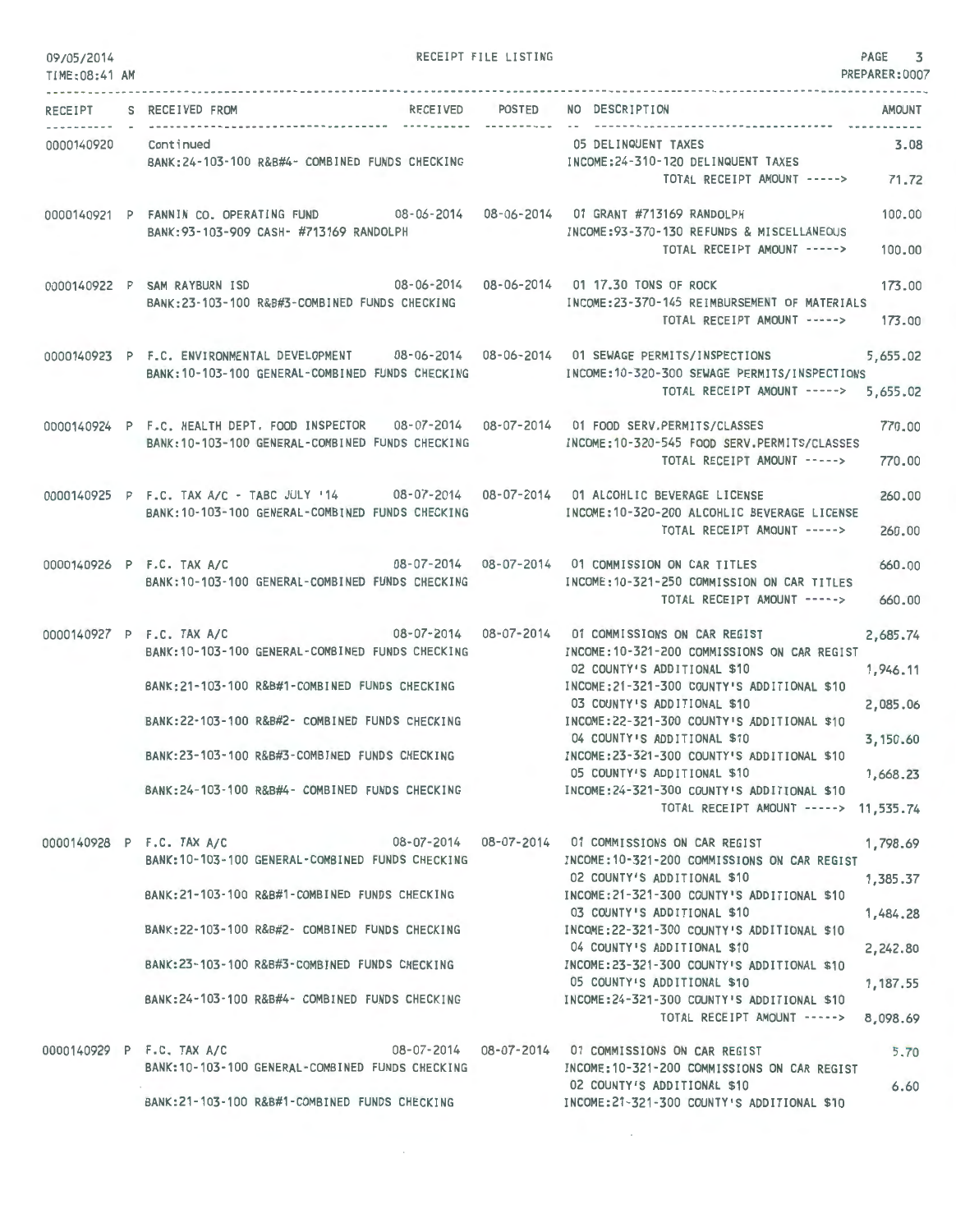| 09/05/2014<br>TIME:08:41 AM |                              |                                                                                                                                                                                                                                                        | RECEIPT FILE LISTING           |                                                                                                                                                                                                                                                                                                                                                                                                                                                                                                                   | PAGE<br>3<br>PREPARER:0007                                           |
|-----------------------------|------------------------------|--------------------------------------------------------------------------------------------------------------------------------------------------------------------------------------------------------------------------------------------------------|--------------------------------|-------------------------------------------------------------------------------------------------------------------------------------------------------------------------------------------------------------------------------------------------------------------------------------------------------------------------------------------------------------------------------------------------------------------------------------------------------------------------------------------------------------------|----------------------------------------------------------------------|
| RECEIPT                     | S RECEIVED FROM              |                                                                                                                                                                                                                                                        | RECEIVED POSTED<br>----------- | NO DESCRIPTION                                                                                                                                                                                                                                                                                                                                                                                                                                                                                                    | AMOUNT                                                               |
| 0000140920 Continued        |                              |                                                                                                                                                                                                                                                        |                                | 05 DELINQUENT TAXES<br>BANK:24-103-100 R&B#4- COMBINED FUNDS CHECKING MALL INCOME:24-310-120 DELINQUENT TAXES<br>TOTAL RECEIPT AMOUNT -----> 71.72                                                                                                                                                                                                                                                                                                                                                                | 3.08                                                                 |
|                             |                              | 0000140921 P FANNIN CO. OPERATING FUND 08-06-2014 08-06-2014 01 GRANT #713169 RANDOLPH<br>BANK: 93-103-909 CASH- #713169 RANDOLPH                                                                                                                      |                                | INCOME: 93-370-130 REFUNDS & MISCELLANEOUS<br>TOTAL RECEIPT AMOUNT ----->                                                                                                                                                                                                                                                                                                                                                                                                                                         | 100,00<br>100,00                                                     |
|                             | 0000140922 P SAM RAYBURN ISD | 08-06-2014  08-06-2014  01 17.30 TONS OF ROCK<br>BANK:23-103-100 R&B#3-COMBINED FUNDS CHECKING                                                                                                                                                         |                                | INCOME: 23-370-145 REIMBURSEMENT OF MATERIALS<br>TOTAL RECEIPT AMOUNT ----->                                                                                                                                                                                                                                                                                                                                                                                                                                      | 173.00<br>173.00                                                     |
|                             |                              | BANK: 10-103-100 GENERAL-COMBINED FUNDS CHECKING                                                                                                                                                                                                       |                                | 0000140923 P F.C. ENVIRONMENTAL DEVELOPMENT 08-06-2014 08-06-2014 01 SEWAGE PERMITS/INSPECTIONS<br>INCOME:10-320-300 SEWAGE PERMITS/INSPECTIONS<br>TOTAL RECEIPT AMOUNT ----->                                                                                                                                                                                                                                                                                                                                    | 5,655.02<br>5,655.02                                                 |
|                             |                              | BANK: 10-103-100 GENERAL-COMBINED FUNDS CHECKING                                                                                                                                                                                                       |                                | 0000140924 P F.C. HEALTH DEPT. FOOD INSPECTOR  08-07-2014  08-07-2014  01 FOOD SERV.PERMITS/CLASSES<br>INCOME:10-320-545 FOOD SERV.PERMITS/CLASSES<br>TOTAL RECEIPT AMOUNT ----->                                                                                                                                                                                                                                                                                                                                 | 770.00<br>770.00                                                     |
|                             |                              | BANK: 10-103-100 GENERAL-COMBINED FUNDS CHECKING                                                                                                                                                                                                       |                                | 0000140925 P F.C. TAX A/C - TABC JULY '14 08-07-2014 08-07-2014 01 ALCOHLIC BEVERAGE LICENSE<br>INCOME:10-320-200 ALCOHLIC BEVERAGE LICENSE<br>TOTAL RECEIPT AMOUNT ----->                                                                                                                                                                                                                                                                                                                                        | 260,00<br>260,00                                                     |
|                             | 0000140926 P F.C. TAX A/C    | BANK: 10-103-100 GENERAL-COMBINED FUNDS CHECKING                                                                                                                                                                                                       |                                | 08-07-2014  08-07-2014  01 COMMISSION ON CAR TITLES<br>INCOME: 10-321-250 COMMISSION ON CAR TITLES<br>TOTAL RECEIPT AMOUNT ----->                                                                                                                                                                                                                                                                                                                                                                                 | 660.00<br>660.00                                                     |
|                             | 0000140927 P F.C. TAX A/C    | BANK: 10-103-100 GENERAL-COMBINED FUNDS CHECKING<br>BANK:21-103-100 R&B#1-COMBINED FUNDS CHECKING<br>BANK:22-103-100 R&B#2- COMBINED FUNDS CHECKING<br>BANK:23-103-100 R&B#3-COMBINED FUNDS CHECKING                                                   |                                | 08-07-2014  08-07-2014  01 COMMISSIONS ON CAR REGIST<br>INCOME: 10-321-200 COMMISSIONS ON CAR REGIST<br>02 COUNTY'S ADDITIONAL \$10<br>INCOME:21-321-300 COUNTY'S ADDITIONAL \$10<br>03 COUNTY'S ADDITIONAL \$10<br>INCOME: 22-321-300 COUNTY'S ADDITIONAL \$10<br>04 COUNTY'S ADDITIONAL \$10<br>INCOME:23-321-300 COUNTY'S ADDITIONAL \$10<br>05 COUNTY'S ADDITIONAL \$10<br>BANK:24-103-100 R&B#4- COMBINED FUNDS CHECKING INCOME:24-321-300 COUNTY'S ADDITIONAL \$10<br>TOTAL RECEIPT AMOUNT -----> 11,535.74 | 2,685.74<br>1,946.11<br>2,085.06<br>3,150.60<br>1,668.23             |
|                             |                              | BANK: 10-103-100 GENERAL-COMBINED FUNDS CHECKING<br>BANK:21-103-100 R&B#1-COMBINED FUNDS CHECKING<br>BANK:22-103-100 R&B#2- COMBINED FUNDS CHECKING<br>BANK:23-103-100 R&B#3-COMBINED FUNDS CHECKING<br>BANK:24-103-100 R&B#4- COMBINED FUNDS CHECKING |                                | 0000140928 P F.C. TAX A/C 08-07-2014 08-07-2014 01 COMMISSIONS ON CAR REGIST<br>INCOME:10-321-200 COMMISSIONS ON CAR REGIST<br>02 COUNTY'S ADDITIONAL \$10<br>INCOME:21-321-300 COUNTY'S ADDITIONAL \$10<br>03 COUNTY'S ADDITIONAL \$10<br>INCOME:22-321-300 COUNTY'S ADDITIONAL \$10<br>04 COUNTY'S ADDITIONAL \$10<br>INCOME: 23-321-300 COUNTY'S ADDITIONAL \$10<br>05 COUNTY'S ADDITIONAL \$10<br>INCOME:24-321-300 COUNTY'S ADDITIONAL \$10<br>TOTAL RECEIPT AMOUNT ----->                                   | 1,798.69<br>1,385.37<br>1,484.28<br>2,242.80<br>1,187.55<br>8,098.69 |
|                             | 0000140929 P F.C. TAX A/C    | BANK: 10-103-100 GENERAL-COMBINED FUNDS CHECKING<br>BANK:21-103-100 R&B#1-COMBINED FUNDS CHECKING                                                                                                                                                      |                                | 08-07-2014  08-07-2014  01 COMMISSIONS ON CAR REGIST<br>INCOME:10-321-200 COMMISSIONS ON CAR REGIST<br>02 COUNTY'S ADDITIONAL \$10<br>INCOME:21-321-300 COUNTY'S ADDITIONAL \$10                                                                                                                                                                                                                                                                                                                                  | 5.70<br>6.60                                                         |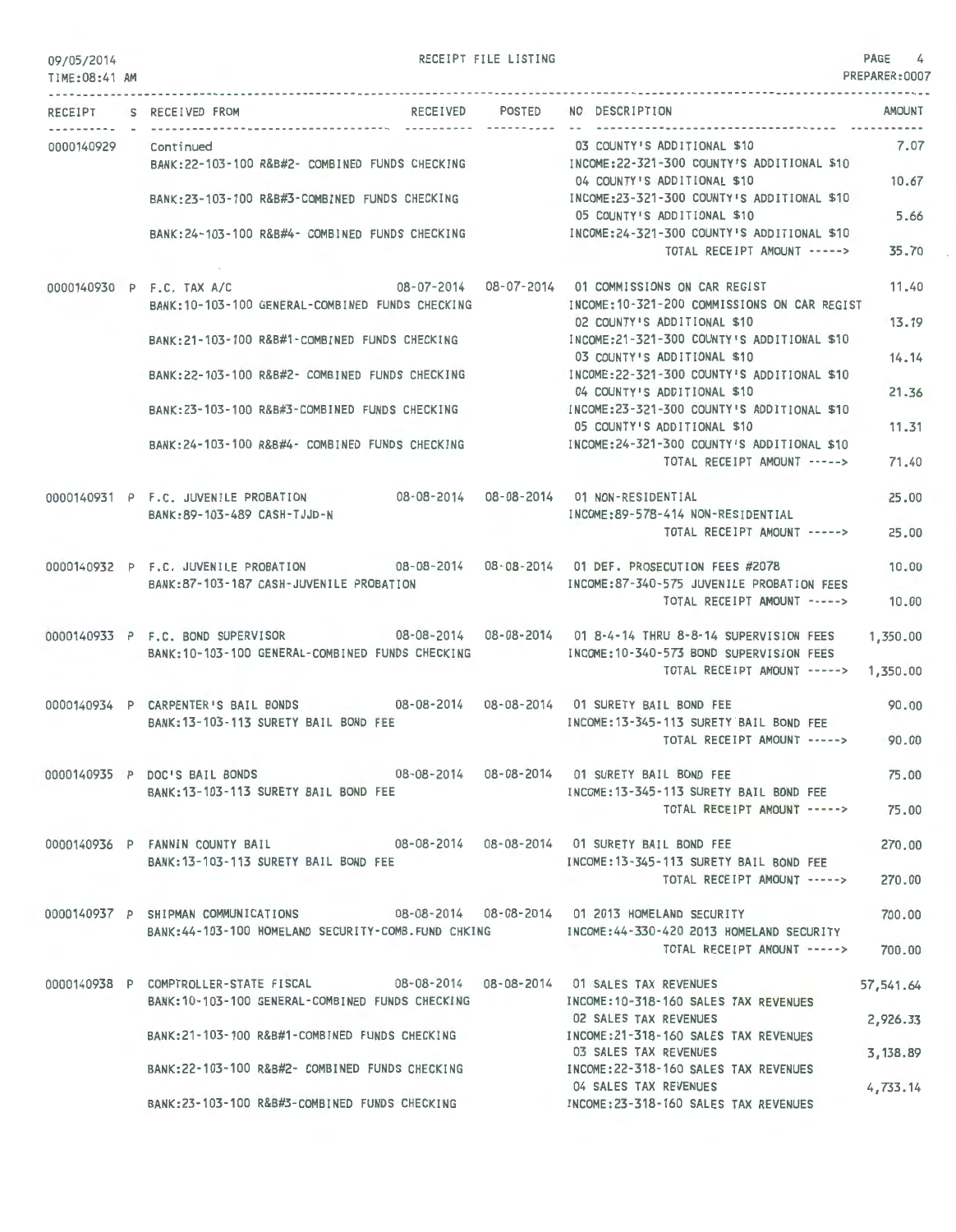| 09/05/2014<br>TIME: 08:41 AM |                                                                                                                                       | RECEIPT FILE LISTING |                                                                            | PAGE<br>4<br>PREPARER: 0007 |
|------------------------------|---------------------------------------------------------------------------------------------------------------------------------------|----------------------|----------------------------------------------------------------------------|-----------------------------|
|                              | RECEIPT S RECEIVED FROM                                                                                                               | RECEIVED POSTED      | NO DESCRIPTION                                                             | <b>AMOUNT</b>               |
| 0000140929                   | Continued                                                                                                                             |                      | 03 COUNTY'S ADDITIONAL \$10                                                | 7.07                        |
|                              | BANK:22-103-100 R&B#2- COMBINED FUNDS CHECKING MANUSIC INCOME:22-321-300 COUNTY'S ADDITIONAL \$10                                     |                      | 04 COUNTY'S ADDITIONAL \$10                                                | 10.67                       |
|                              | BANK:23-103-100 R&B#3-COMBINED FUNDS CHECKING                                                                                         |                      | INCOME:23-321-300 COUNTY'S ADDITIONAL \$10<br>05 COUNTY'S ADDITIONAL \$10  | 5.66                        |
|                              | BANK: 24-103-100 R&B#4- COMBINED FUNDS CHECKING                                                                                       |                      | INCOME: 24-321-300 COUNTY'S ADDITIONAL \$10<br>TOTAL RECEIPT AMOUNT -----> | 35.70                       |
|                              | 0000140930 P F.C. TAX A/C<br>BANK: 10-103-100 GENERAL-COMBINED FUNDS CHECKING                                                         |                      | INCOME: 10-321-200 COMMISSIONS ON CAR REGIST                               | 11.40                       |
|                              | BANK: 21-103-100 R&B#1-COMBINED FUNDS CHECKING                                                                                        |                      | 02 COUNTY'S ADDITIONAL \$10<br>INCOME: 21-321-300 COUNTY'S ADDITIONAL \$10 | 13.19                       |
|                              | BANK: 22-103-100 R&B#2- COMBINED FUNDS CHECKING                                                                                       |                      | 03 COUNTY'S ADDITIONAL \$10<br>INCOME: 22-321-300 COUNTY'S ADDITIONAL \$10 | 14.14                       |
|                              |                                                                                                                                       |                      | 04 COUNTY'S ADDITIONAL \$10                                                | 21.36                       |
|                              | BANK: 23-103-100 R&B#3-COMBINED FUNDS CHECKING                                                                                        |                      | INCOME:23-321-300 COUNTY'S ADDITIONAL \$10<br>05 COUNTY'S ADDITIONAL \$10  | 11.31                       |
|                              | BANK: 24-103-100 R&B#4- COMBINED FUNDS CHECKING                                                                                       |                      | INCOME: 24-321-300 COUNTY'S ADDITIONAL \$10<br>TOTAL RECEIPT AMOUNT -----> | 71.40                       |
|                              | 0000140931 P F.C. JUVENILE PROBATION                                                                                                  |                      |                                                                            | 25,00                       |
|                              | BANK: 89-103-489 CASH-TJJD-N                                                                                                          |                      | INCOME: 89-578-414 NON-RESIDENTIAL<br>TOTAL RECEIPT AMOUNT ----->          | 25.00                       |
|                              | 0000140932 P F.C. JUVENILE PROBATION                                                                                                  |                      |                                                                            | 10.00                       |
|                              | BANK:87-103-187 CASH-JUVENILE PROBATION                                                                                               |                      | INCOME:87-340-575 JUVENILE PROBATION FEES<br>TOTAL RECEIPT AMOUNT ----->   | 10.00                       |
|                              | 0000140933 P F.C. BOND SUPERVISOR 08-08-2014 08-08-2014 01 8-4-14 THRU 8-8-14 SUPERVISION FEES                                        |                      |                                                                            | 1,350.00                    |
|                              | BANK: 10-103-100 GENERAL-COMBINED FUNDS CHECKING                                                                                      |                      | INCOME: 10-340-573 BOND SUPERVISION FEES<br>TOTAL RECEIPT AMOUNT ----->    | 1,350.00                    |
|                              | 0000140934 P CARPENTER'S BAIL BONDS 08-08-2014 08-08-2014 01 SURETY BAIL BOND FEE                                                     |                      |                                                                            | 90.00                       |
|                              | BANK: 13-103-113 SURETY BAIL BOND FEE                                                                                                 |                      | INCOME: 13-345-113 SURETY BAIL BOND FEE<br>TOTAL RECEIPT AMOUNT ----->     | 90.00                       |
|                              | 0000140935 P DOC'S BAIL BONDS                                                                                                         |                      |                                                                            | 75.00                       |
|                              | BANK: 13-103-113 SURETY BAIL BOND FEE                                                                                                 |                      | INCOME:13-345-113 SURETY BAIL BOND FEE<br>TOTAL RECEIPT AMOUNT ----->      | 75,00                       |
|                              | 0000140936 P FANNIN COUNTY BAIL 08-08-2014 08-08-2014 01 SURETY BAIL BOND FEE                                                         |                      |                                                                            | 270,00                      |
|                              | BANK:13-103-113 SURETY BAIL BOND FEE                                                                                                  |                      | INCOME: 13-345-113 SURETY BAIL BOND FEE<br>TOTAL RECEIPT AMOUNT ----->     | 270.00                      |
|                              | 0000140937 P SHIPMAN COMMUNICATIONS 08-08-2014 08-08-2014 01 2013 HOMELAND SECURITY                                                   |                      |                                                                            | 700.00                      |
|                              | BANK:44-103-100 HOMELAND SECURITY-COMB.FUND CHKING MODE:44-330-420 2013 HOMELAND SECURITY                                             |                      | TOTAL RECEIPT AMOUNT ----->                                                | 700.00                      |
|                              | 0000140938 P COMPTROLLER-STATE FISCAL 08-08-2014 08-08-2014 01 SALES TAX REVENUES<br>BANK: 10-103-100 GENERAL-COMBINED FUNDS CHECKING |                      | INCOME:10-318-160 SALES TAX REVENUES                                       | 57,541.64                   |
|                              |                                                                                                                                       |                      | 02 SALES TAX REVENUES<br>INCOME:21-318-160 SALES TAX REVENUES              | 2,926.33                    |
|                              | BANK:21-103-100 R&B#1-COMBINED FUNDS CHECKING<br>BANK:22-103-100 R&B#2- COMBINED FUNDS CHECKING                                       |                      | 03 SALES TAX REVENUES<br>INCOME:22-318-160 SALES TAX REVENUES              | 3,138.89                    |
|                              |                                                                                                                                       |                      | 04 SALES TAX REVENUES                                                      | 4,733.14                    |
|                              | BANK:23-103-100 R&B#3-COMBINED FUNDS CHECKING                                                                                         |                      | INCOME:23-318-160 SALES TAX REVENUES                                       |                             |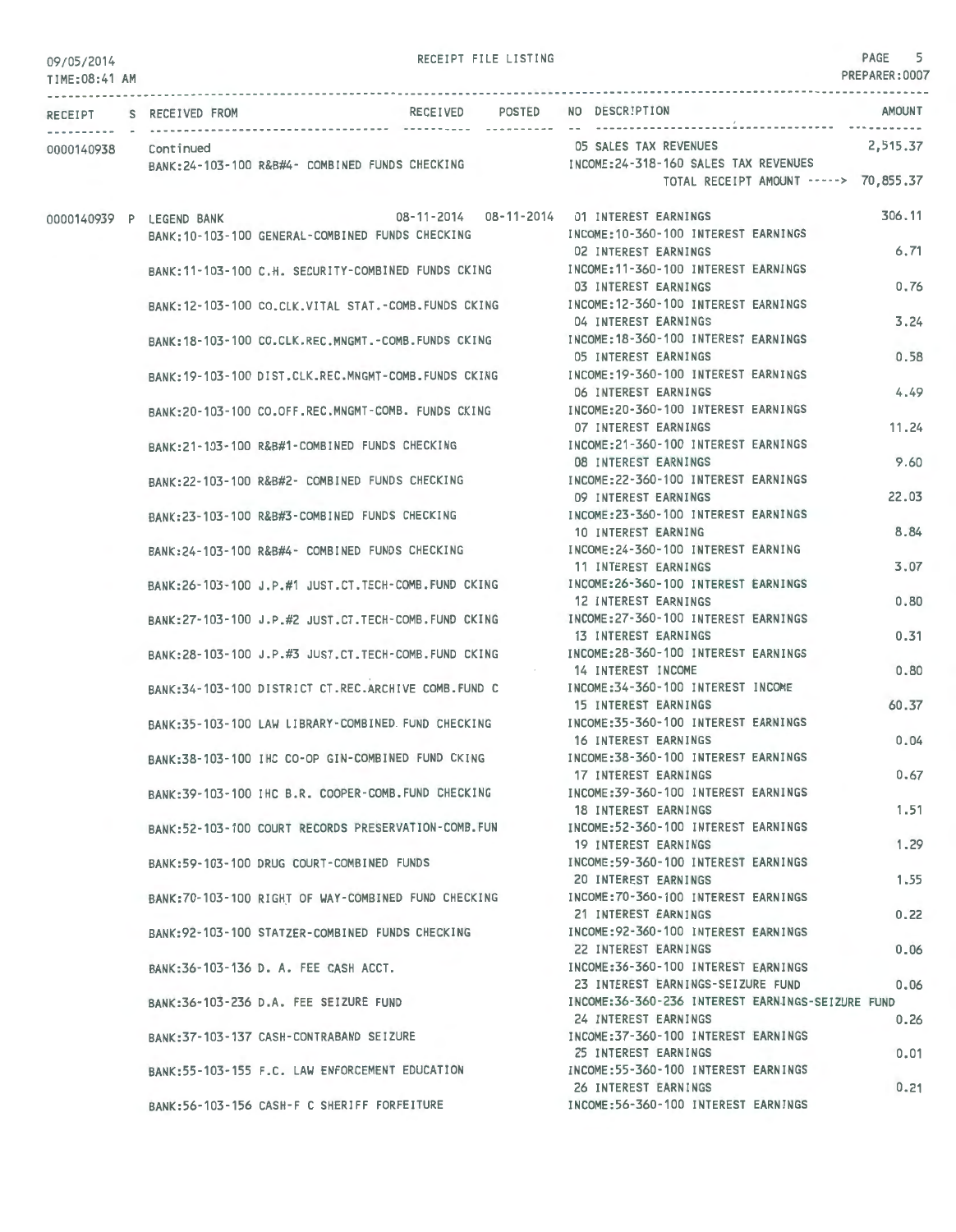## 09/05/2014

RECEIPT FILE LISTING **PAGE** 5

| TIME: 08:41 AM       |                                                        |                                                                     | PREPARER: UUU/ |
|----------------------|--------------------------------------------------------|---------------------------------------------------------------------|----------------|
| RECEIPT              | RECEIVED POSTED NO DESCRIPTION<br>S RECEIVED FROM      |                                                                     | AMOUNT         |
| 0000140938 Continued |                                                        | 05 SALES TAX REVENUES                                               | 2,515.37       |
|                      | BANK:24-103-100 R&B#4- COMBINED FUNDS CHECKING         | INCOME:24-318-160 SALES TAX REVENUES                                |                |
|                      |                                                        | TOTAL RECEIPT AMOUNT -----> 70,855.37                               |                |
|                      | 0000140939 P LEGEND BANK                               |                                                                     | 306,11         |
|                      | BANK: 10-103-100 GENERAL-COMBINED FUNDS CHECKING       | INCOME: 10-360-100 INTEREST EARNINGS                                |                |
|                      |                                                        | <b>02 INTEREST EARNINGS</b>                                         | 6,71           |
|                      | BANK:11-103-100 C.H. SECURITY-COMBINED FUNDS CKING     | INCOME:11-360-100 INTEREST EARNINGS                                 |                |
|                      |                                                        | 03 INTEREST EARNINGS                                                | 0.76           |
|                      | BANK: 12-103-100 CO.CLK.VITAL STAT.-COMB.FUNDS CKING   | INCOME: 12-360-100 INTEREST EARNINGS                                |                |
|                      |                                                        | 04 INTEREST EARNINGS<br>INCOME:18-360-100 INTEREST EARNINGS         | 3.24           |
|                      | BANK: 18-103-100 CO.CLK.REC.MNGMT.-COMB.FUNDS CKING    | 05 INTEREST EARNINGS                                                | 0.58           |
|                      | BANK: 19-103-100 DIST.CLK.REC.MNGMT-COMB.FUNDS CKING   | INCOME: 19-360-100 INTEREST EARNINGS                                |                |
|                      |                                                        | 06 INTEREST EARNINGS                                                | 4.49           |
|                      | BANK:20-103-100 CO.OFF.REC.MNGMT-COMB. FUNDS CKING     | INCOME:20-360-100 INTEREST EARNINGS                                 |                |
|                      |                                                        | 07 INTEREST EARNINGS                                                | 11.24          |
|                      | BANK:21-103-100 R&B#1-COMBINED FUNDS CHECKING          | INCOME: 21-360-100 INTEREST EARNINGS                                |                |
|                      |                                                        | 08 INTEREST EARNINGS                                                | 9.60           |
|                      | BANK:22-103-100 R&B#2- COMBINED FUNDS CHECKING         | INCOME: 22-360-100 INTEREST EARNINGS                                |                |
|                      |                                                        | 09 INTEREST EARNINGS                                                | 22.03          |
|                      | BANK:23-103-100 R&B#3-COMBINED FUNDS CHECKING          | INCOME: 23-360-100 INTEREST EARNINGS                                |                |
|                      |                                                        | 10 INTEREST EARNING                                                 | 8.84           |
|                      | BANK:24-103-100 R&B#4- COMBINED FUNDS CHECKING         | INCOME: 24-360-100 INTEREST EARNING                                 | 3.07           |
|                      |                                                        | 11 INTEREST EARNINGS<br>INCOME: 26-360-100 INTEREST EARNINGS        |                |
|                      | BANK: 26-103-100 J.P.#1 JUST.CT. TECH-COMB. FUND CKING | 12 INTEREST EARNINGS                                                | 0.80           |
|                      | BANK: 27-103-100 J.P.#2 JUST.CT. TECH-COMB. FUND CKING | INCOME: 27-360-100 INTEREST EARNINGS                                |                |
|                      |                                                        | 13 INTEREST EARNINGS                                                | 0.31           |
|                      | BANK: 28-103-100 J.P.#3 JUST.CT. TECH-COMB. FUND CKING | INCOME: 28-360-100 INTEREST EARNINGS                                |                |
|                      |                                                        | 14 INTEREST INCOME                                                  | 0.80           |
|                      | RANK: 34-103-100 DISTRICT CT.REC.ARCHIVE COMB. FUND C  | INCOME: 34-360-100 INTEREST INCOME                                  |                |
|                      |                                                        | 15 INTEREST EARNINGS                                                | 60.37          |
|                      | BANK: 35-103-100 LAW LIBRARY-COMBINED FUND CHECKING    | INCOME: 35-360-100 INTEREST EARNINGS                                |                |
|                      |                                                        | 16 INTEREST EARNINGS<br>INCOME: 38-360-100 INTEREST EARNINGS        | 0.04           |
|                      | BANK:38-103-100 IHC CO-OP GIN-COMBINED FUND CKING      | 17 INTEREST EARNINGS                                                | 0.67           |
|                      | BANK:39-103-100 IHC B.R. COOPER-COMB. FUND CHECKING    | INCOME: 39-360-100 INTEREST EARNINGS                                |                |
|                      |                                                        | 18 INTEREST EARNINGS                                                | 1.51           |
|                      | BANK:52-103-100 COURT RECORDS PRESERVATION-COMB.FUN    | INCOME: 52-360-100 INTEREST EARNINGS                                |                |
|                      |                                                        | 19 INTEREST EARNINGS                                                | 1.29           |
|                      | RANK:59-103-100 DRUG COURT-COMBINED FUNDS              | INCOME: 59-360-100 INTEREST EARNINGS                                |                |
|                      |                                                        | 20 INTEREST EARNINGS                                                | 1.55           |
|                      | BANK: 70-103-100 RIGHT OF WAY-COMBINED FUND CHECKING   | INCOME: 70-360-100 INTEREST EARNINGS                                |                |
|                      |                                                        | 21 INTEREST EARNINGS                                                | 0.22           |
|                      | RANK: 92-103-100 STATZER-COMBINED FUNDS CHECKING       | INCOME: 92-360-100 INTEREST EARNINGS<br><b>22 INTEREST EARNINGS</b> | 0.06           |
|                      | BANK: 36-103-136 D. A. FEE CASH ACCT.                  | INCOME: 36-360-100 INTEREST EARNINGS                                |                |
|                      |                                                        | 23 INTEREST EARNINGS-SEIZURE FUND                                   | 0.06           |
|                      | BANK: 36-103-236 D.A. FEE SEIZURE FUND                 | INCOME: 36-360-236 INTEREST EARNINGS-SEIZURE FUND                   |                |
|                      |                                                        | 24 INTEREST EARNINGS                                                | 0.26           |
|                      | BANK: 37-103-137 CASH-CONTRABAND SEIZURE               | INCOME: 37-360-100 INTEREST EARNINGS                                |                |
|                      |                                                        | 25 INTEREST EARNINGS                                                | 0.01           |
|                      | BANK:55-103-155 F.C. LAW ENFORCEMENT EDUCATION         | INCOME: 55-360-100 INTEREST EARNINGS                                |                |
|                      |                                                        | 26 INTEREST EARNINGS                                                | 0.21           |
|                      | BANK:56-103-156 CASH-F C SHERIFF FORFEITURE            | INCOME: 56-360-100 INTEREST EARNINGS                                |                |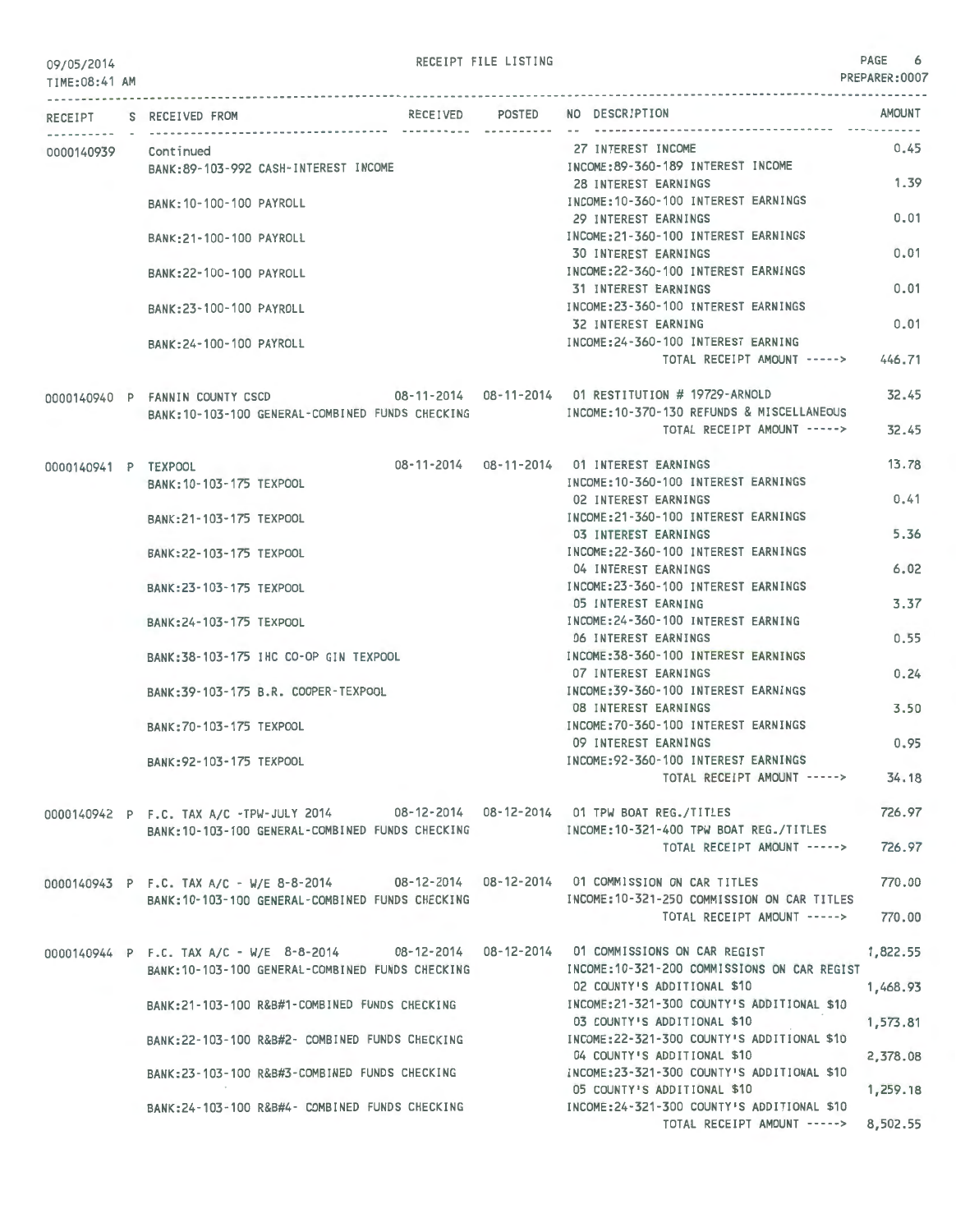09/05/2014 PAGE 6 PREPARER:0007 TIME:08:41 AM PREPARER:0007 --------------------------------------------------------------------------------------------------------------------------------- RECEIPT S RECEIVED FROM 0000140939 Continued BANK:89-103-992 CASH-INTEREST INCOME BANK:10-100-100 PAYROLL BANK:21 - 100-100 PAYROLL BANK:22-100-100 PAYROLL BANK:23-100-100 PAYROLL BANK:24- 100-100 PAYROLL 0000140940 P FANNIN COUNTY CSCD RECEIVED POSTED NO DESCRIPTION 27 INTEREST INCOME INCOME:89-360-189 INTEREST INCOME 28 INTEREST EARNINGS INCOME:10-360-100 INTEREST EARNINGS 29 INTEREST EARN INGS INCOME:21-360-100 INTEREST EARNINGS 30 INTEREST EARNINGS INCOME:22-360-100 INTEREST EARNINGS 31 INTEREST EARNINGS INCOME:23-360-100 INTEREST EARNINGS 32 INTEREST EARNING INCOME:24-360-100 INTEREST EARNING TOTAL RECEIPT AMOUNT -----> 08-11-2014 08-11-2014 01 RESTITUTION # 19729-ARNOLD BANK:10-103-100 GENERAL-COMBINED FUNDS CHECKING INCOME:10-370-130 REFUNDS & MISCELLANEOUS AMOUNT 0.45 1.39 0.01 0.01 0.01  $0.01$ 446.71 32.45 TOTAL RECEIPT AMOUNT -----> 32.45 0000140941 P TEXPOOL BANK:10-103-175 TEXPOOL BANK:21-103-175 TEXPOOL BANK :22- 103-175 TEXPOOL BANK:23-103-175 TEXPOOL BANK :24-103-175 TEXPOOL 08-11-2014 08-11-2014 01 INTEREST EARNINGS INCOME:10-360-100 INTEREST EARNINGS 02 INTEREST EARNINGS INCOME:21-360-100 INTEREST EARNINGS 03 INTEREST EARNINGS INCOME:22-360-100 INTEREST EARNINGS 04 INTEREST EARNINGS INCOME:23 -360-100 INTEREST EARNINGS 05 INTEREST EARNING INCOME:24-360-100 INTEREST EARNING 06 INTEREST EARNINGS BANK:38- 103-175 IHC CO-OP GIN TEXPOOL INCOME:38-360- 100 INTEREST EARNINGS 07 INTEREST EARNINGS INCOME: 39-360-100 INTEREST EARNINGS 08 INTEREST EARNINGS INCOME:70-360-100 INTEREST EARNINGS BANK:39-103-175 B.R. COOPER-TEXPOOL BANK:70-103-175 TEXPOOL BANK:92-103-175 TEXPOOL 0000140942 P F.C. TAX A/C -TPW-JULY 2014 08- 12- 2014 08-12-2014 01 TPW BOAT REG. / TITLES BANK:10-103-100 GENERAL-COMBINED FUNDS CHECKING INCOME:10-321-400 TPW BOAT REG./TITLES 0000140943 P F.C. TAX A/C - W/E 8-8-2014 08-12-2014 08-12-2014 01 COMMISSION ON CAR TITLES BANK:10-103-100 GENERAL-COMBINED FUNDS CHECKING [INCOME:10-321-250 COMMISSION ON CAR TITLES 09 INTEREST EARNINGS INCOME:92-360-100 INTEREST EARNINGS TOTAL RECEIPT AMOUNT -----> TOTAL RECEIPT AMOUNT -----> TOTAL RECEIPT AMOUNT -----> 13.78 0.41 5.36 6.02 3.37 0.55 0.24 3.50 0.95 34 . 18 726.97 726.97 770.00 770.00 0000140944 P F.C. TAX A/C - W/E 8-8-2014 08-12-2014 08-12-2014 01 COMMISSIONS ON CAR REGIST 1,822.55 BANK:10-103-100 GENERAL-COMBINED FUNDS CHECKING BANK:21-103-100 R&B#1-COMBINED FUNDS CHECKING BANK:22-103-100 R&B#2- COMBINED FUNDS CHECKING BANK:23-103-100 R&B#3-COMBINED FUNDS CHECKING BANK:24-103-100 R&B#4- COMBINED FUNDS CHECKING INCOME:10 -321 -200 COMMISSIONS ON CAR REGIST 02 COUNTY'S ADDITIONAL \$10 INCOME:21-321-300 COUNTY'S ADDITIONAL \$10 03 COUNTY'S ADDITIONAL \$10 INCOME:22-321-300 COUNTY'S ADDITIONAL \$10 1,468.93 1,573.81 04 COUNTY'S ADDITIONAL \$10 2,378.08 INCOME:23-321-300 COUNTY'S ADDITIONAL \$10 05 COUNTY'S ADDITIONAL \$10 INCOME: 24-321-300 COUNTY'S ADDITIONAL \$10 1,259.18 TOTAL RECEIPT AMOUNT -----> 8,502 .55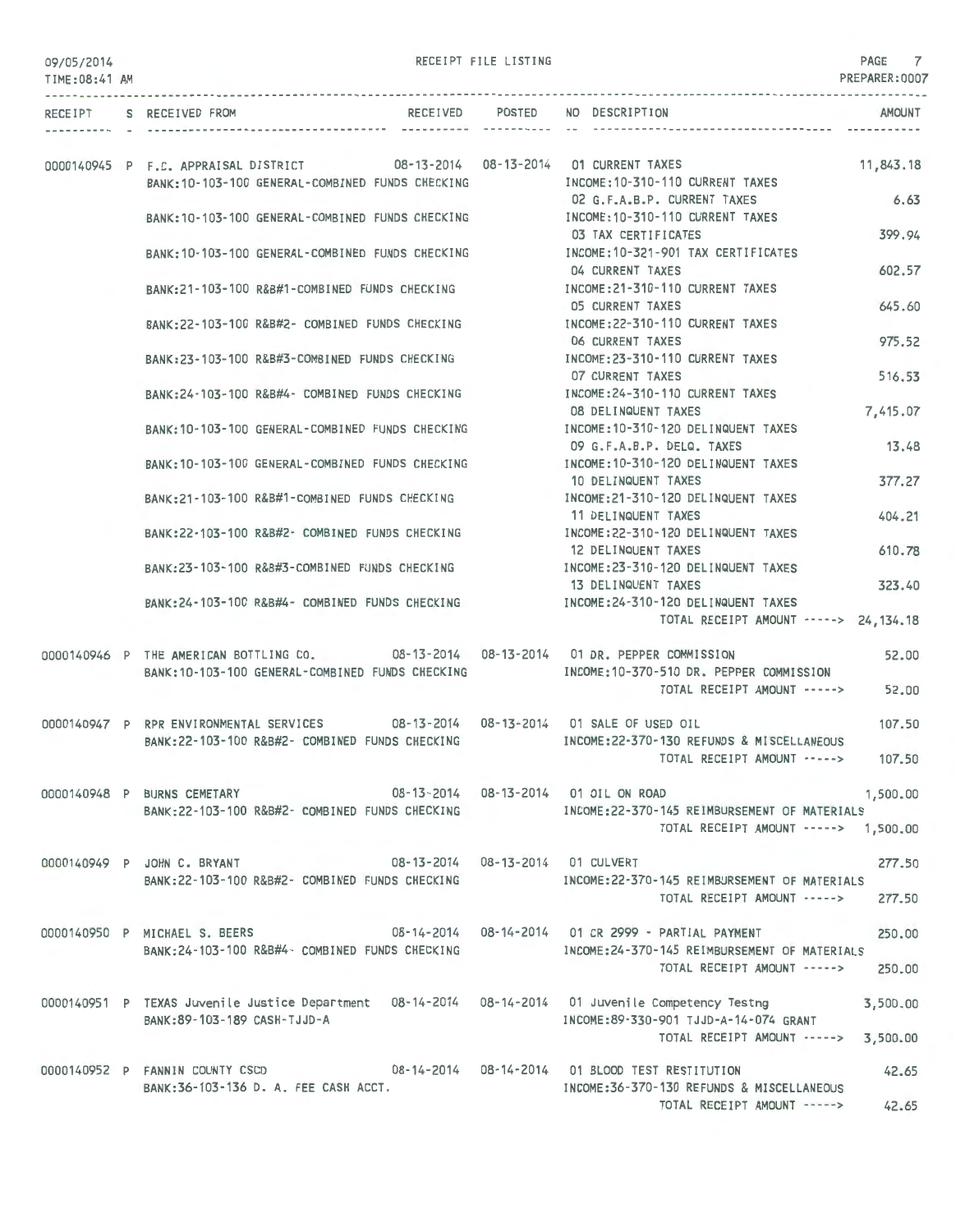| 09/05/2014 |  |
|------------|--|
|------------|--|

RECEIPT FILE LISTING

PAGE 7

| UY/U3/ZU14<br>TIME: 08:41 AM |                                                                                                                                 |               | PREPARER:0007                                                                         |  |
|------------------------------|---------------------------------------------------------------------------------------------------------------------------------|---------------|---------------------------------------------------------------------------------------|--|
|                              | RECEIPT S RECEIVED FROM                                                                                                         | ------------- | RECEIVED POSTED NO DESCRIPTION<br>AMOUNT                                              |  |
|                              | 0000140945 P F.C. APPRAISAL DISTRICT 08-13-2014 08-13-2014 01 CURRENT TAXES<br>BANK: 10-103-100 GENERAL-COMBINED FUNDS CHECKING |               | 11,843.18<br>INCOME: 10-310-110 CURRENT TAXES                                         |  |
|                              | BANK: 10-103-100 GENERAL-COMBINED FUNDS CHECKING                                                                                |               | 6.63<br>02 G.F.A.B.P. CURRENT TAXES<br>INCOME: 10-310-110 CURRENT TAXES               |  |
|                              | BANK: 10-103-100 GENERAL-COMBINED FUNDS CHECKING                                                                                |               | 399.94<br>03 TAX CERTIFICATES<br>INCOME: 10-321-901 TAX CERTIFICATES                  |  |
|                              |                                                                                                                                 |               | 602.57<br>04 CURRENT TAXES<br>INCOME: 21-310-110 CURRENT TAXES                        |  |
|                              | BANK: 21-103-100 R&B#1-COMBINED FUNDS CHECKING                                                                                  |               | 05 CURRENT TAXES<br>645.60                                                            |  |
|                              | BANK: 22-103-100 R&B#2- COMBINED FUNDS CHECKING                                                                                 |               | INCOME: 22-310-110 CURRENT TAXES<br>975.52<br>06 CURRENT TAXES                        |  |
|                              | BANK: 23-103-100 R&B#3-COMBINED FUNDS CHECKING                                                                                  |               | INCOME: 23-310-110 CURRENT TAXES<br><b>07 CURRENT TAXES</b><br>516.53                 |  |
|                              | BANK:24-103-100 R&B#4- COMBINED FUNDS CHECKING                                                                                  |               | INCOME: 24-310-110 CURRENT TAXES<br><b>08 DELINQUENT TAXES</b><br>7,415.07            |  |
|                              | BANK: 10-103-100 GENERAL-COMBINED FUNDS CHECKING                                                                                |               | INCOME: 10-310-120 DELINQUENT TAXES<br>09 G.F.A.B.P. DELQ. TAXES<br>13.48             |  |
|                              | BANK: 10-103-100 GENERAL-COMBINED FUNDS CHECKING                                                                                |               | INCOME: 10-310-120 DELINQUENT TAXES<br>377.27<br>10 DELINQUENT TAXES                  |  |
|                              | BANK: 21-103-100 R&B#1-COMBINED FUNDS CHECKING                                                                                  |               | INCOME: 21-310-120 DELINQUENT TAXES<br>11 DELINQUENT TAXES<br>404.21                  |  |
|                              | BANK: 22-103-100 R&B#2- COMBINED FUNDS CHECKING                                                                                 |               | INCOME: 22-310-120 DELINQUENT TAXES<br>610.78<br>12 DELINQUENT TAXES                  |  |
|                              | BANK:23-103-100 R&B#3-COMBINED FUNDS CHECKING                                                                                   |               | INCOME: 23-310-120 DELINQUENT TAXES<br>13 DELINQUENT TAXES<br>323.40                  |  |
|                              | BANK: 24-103-100 R&B#4- COMBINED FUNDS CHECKING                                                                                 |               | INCOME:24-310-120 DELINQUENT TAXES<br>TOTAL RECEIPT AMOUNT -----> 24,134.18           |  |
|                              | 0000140946 P THE AMERICAN BOTTLING CO. 08-13-2014 08-13-2014 01 DR. PEPPER COMMISSION                                           |               | 52.00                                                                                 |  |
|                              | BANK: 10-103-100 GENERAL-COMBINED FUNDS CHECKING                                                                                |               | INCOME: 10-370-510 DR. PEPPER COMMISSION<br>TOTAL RECEIPT AMOUNT -----><br>52.00      |  |
|                              | 0000140947 P RPR ENVIRONMENTAL SERVICES                                                                                         |               | 08-13-2014  08-13-2014  01 SALE OF USED OIL<br>107.50                                 |  |
|                              | BANK: 22-103-100 R&B#2- COMBINED FUNDS CHECKING                                                                                 |               | INCOME: 22-370-130 REFUNDS & MISCELLANEOUS<br>TOTAL RECEIPT AMOUNT -----><br>107.50   |  |
|                              | 0000140948 P BURNS CEMETARY                                                                                                     |               | 08-13-2014  08-13-2014  01  OIL ON ROAD<br>1,500.00                                   |  |
|                              | BANK: 22-103-100 R&B#2- COMBINED FUNDS CHECKING                                                                                 |               | INCOME: 22-370-145 REIMBURSEMENT OF MATERIALS<br>TOTAL RECEIPT AMOUNT -----> 1,500.00 |  |
|                              | 08-13-2014   08-13-2014   01   CULVERT<br>0000140949 P JOHN C. BRYANT                                                           |               | 277.50                                                                                |  |
|                              | BANK: 22-103-100 R&B#2- COMBINED FUNDS CHECKING                                                                                 |               | INCOME:22-370-145 REIMBURSEMENT OF MATERIALS<br>TOTAL RECEIPT AMOUNT -----><br>277.50 |  |
|                              | 0000140950 P MICHAEL S. BEERS                                                                                                   |               | 08-14-2014   08-14-2014   01 CR 2999 - PARTIAL PAYMENT<br>250.00                      |  |
|                              | BANK:24-103-100 R&B#4- COMBINED FUNDS CHECKING                                                                                  |               | INCOME:24-370-145 REIMBURSEMENT OF MATERIALS<br>TOTAL RECEIPT AMOUNT -----><br>250.00 |  |
|                              | 0000140951 P TEXAS Juvenile Justice Department 08-14-2014 08-14-2014 01 Juvenile Competency Testng                              |               | 3,500.00                                                                              |  |
|                              | BANK: 89-103-189 CASH-TJJD-A                                                                                                    |               | INCOME:89-330-901 TJJD-A-14-074 GRANT<br>TOTAL RECEIPT AMOUNT -----><br>3,500.00      |  |
|                              | 0000140952 P FANNIN COUNTY CSCD                                                                                                 |               | 42.65                                                                                 |  |
|                              | BANK:36-103-136 D. A. FEE CASH ACCT.                                                                                            |               | INCOME: 36-370-130 REFUNDS & MISCELLANEOUS<br>TOTAL RECEIPT AMOUNT -----><br>42.65    |  |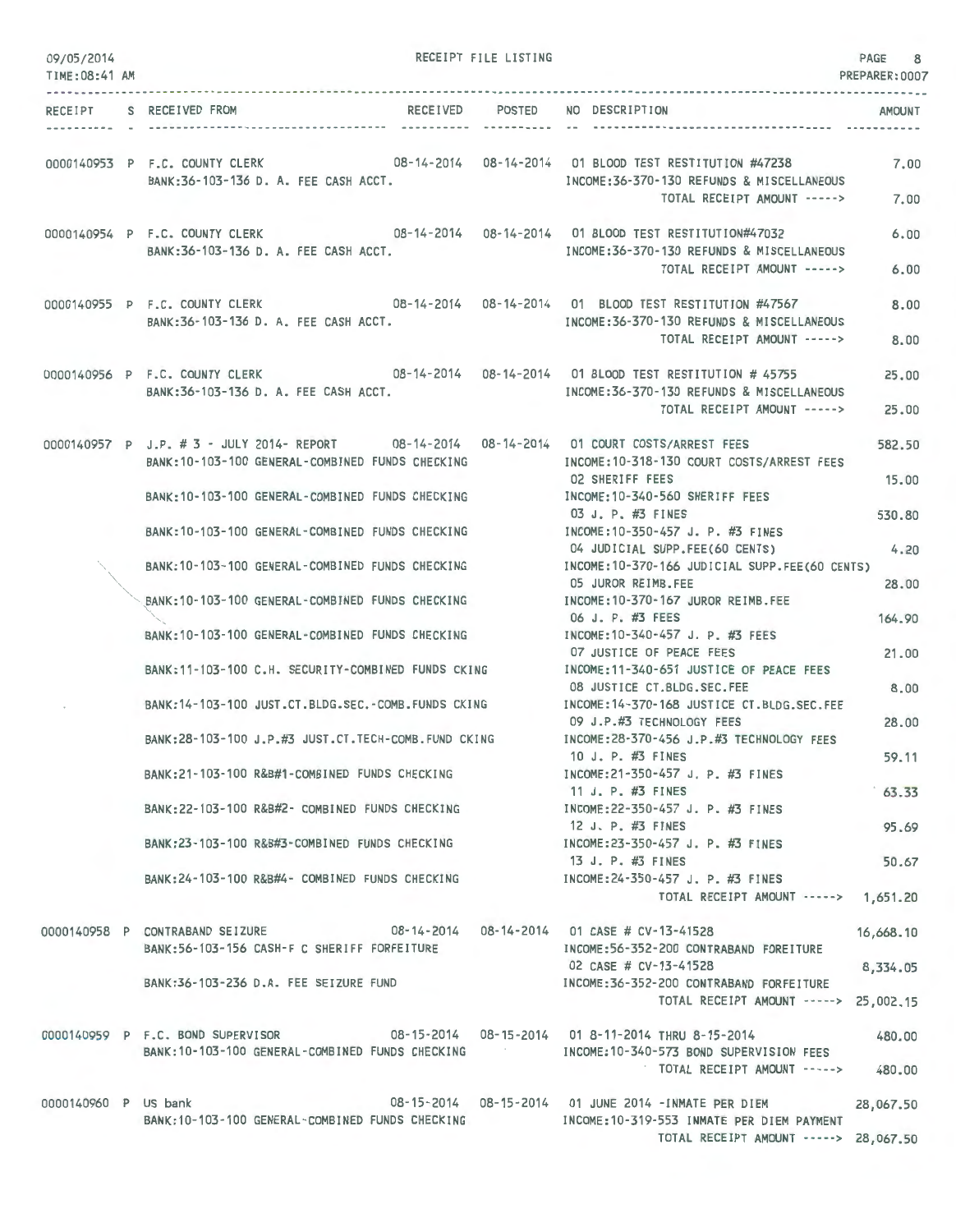| 09/05/2014<br>TIME: 08:41 AM |                                                                                                                                                                                       | RECEIPT FILE LISTING |                                                                                                | PAGE 8<br>PREPARER: 0007 |
|------------------------------|---------------------------------------------------------------------------------------------------------------------------------------------------------------------------------------|----------------------|------------------------------------------------------------------------------------------------|--------------------------|
|                              | RECEIPT S RECEIVED FROM                                                                                                                                                               | RECEIVED POSTED      | NO DESCRIPTION                                                                                 | <b>AMOUNT</b>            |
|                              | 0000140953 P F.C. COUNTY CLERK 08-14-2014 08-14-2014 01 BLOOD TEST RESTITUTION #47238                                                                                                 |                      | ------------------------------                                                                 | 7.00                     |
|                              | BANK:36-103-136 D. A. FEE CASH ACCT.                                                                                                                                                  |                      | INCOME: 36-370-130 REFUNDS & MISCELLANEOUS<br>TOTAL RECEIPT AMOUNT ----->                      | 7.00                     |
|                              | 0000140954 P F.C. COUNTY CLERK 08-14-2014 08-14-2014 01 BLOOD TEST RESTITUTION#47032<br>BANK: 36-103-136 D. A. FEE CASH ACCT.                                                         |                      | INCOME: 36-370-130 REFUNDS & MISCELLANEOUS                                                     | 6.00                     |
|                              |                                                                                                                                                                                       |                      | TOTAL RECEIPT AMOUNT ----->                                                                    | 6.00                     |
|                              | 0000140955 P F.C. COUNTY CLERK 08-14-2014 08-14-2014 01 BLOOD TEST RESTITUTION #47567<br>BANK: 36-103-136 D. A. FEE CASH ACCT.                                                        |                      | INCOME: 36-370-130 REFUNDS & MISCELLANEOUS<br>TOTAL RECEIPT AMOUNT ----->                      | 8.00                     |
|                              | 0000140956 P F.C. COUNTY CLERK 08-14-2014 08-14-2014 01 BLOOD TEST RESTITUTION #45755                                                                                                 |                      |                                                                                                | 8,00                     |
|                              | BANK:36-103-136 D. A. FEE CASH ACCT.                                                                                                                                                  |                      | INCOME: 36-370-130 REFUNDS & MISCELLANEOUS<br>TOTAL RECEIPT AMOUNT ----->                      | 25.00<br>25.00           |
|                              | 0000140957 P J.P. # 3 - JULY 2014- REPORT 08-14-2014 08-14-2014 01 COURT COSTS/ARREST FEES                                                                                            |                      |                                                                                                | 582.50                   |
|                              | BANK: 10-103-100 GENERAL-COMBINED FUNDS CHECKING<br>BANK: 10-103-100 GENERAL-COMBINED FUNDS CHECKING                                                                                  |                      | INCOME:10-318-130 COURT COSTS/ARREST FEES<br>02 SHERIFF FEES<br>INCOME:10-340-560 SHERIFF FEES | 15.00                    |
|                              | BANK: 10-103-100 GENERAL-COMBINED FUNDS CHECKING                                                                                                                                      |                      | 03 J. P. #3 FINES<br>INCOME: 10-350-457 J. P. #3 FINES                                         | 530.80                   |
|                              | BANK: 10-103-100 GENERAL-COMBINED FUNDS CHECKING                                                                                                                                      |                      | 04 JUDICIAL SUPP.FEE(60 CENTS)<br>INCOME: 10-370-166 JUDICIAL SUPP.FEE(60 CENTS)               | 4.20                     |
|                              | BANK: 10-103-100 GENERAL-COMBINED FUNDS CHECKING                                                                                                                                      |                      | 05 JUROR REIMB.FEE<br>INCOME:10-370-167 JUROR REIMB.FEE                                        | 28.00                    |
|                              | BANK: 10-103-100 GENERAL-COMBINED FUNDS CHECKING                                                                                                                                      |                      | 06 J. P. #3 FEES<br>INCOME:10-340-457 J. P. #3 FEES                                            | 164.90                   |
|                              | BANK: 11-103-100 C.H. SECURITY-COMBINED FUNDS CKING                                                                                                                                   |                      | 07 JUSTICE OF PEACE FEES<br>INCOME:11-340-651 JUSTICE OF PEACE FEES                            | 21.00                    |
|                              | BANK: 14-103-100 JUST.CT.BLDG.SEC.-COMB.FUNDS CKING                                                                                                                                   |                      | 08 JUSTICE CT.BLDG.SEC.FEE<br>INCOME: 14-370-168 JUSTICE CT.BLDG.SEC.FEE                       | 8.00                     |
|                              | BANK:28-103-100 J.P.#3 JUST.CT.TECH-COMB.FUND CKING                                                                                                                                   |                      | 09 J.P.#3 TECHNOLOGY FEES<br>INCOME:28-370-456 J.P.#3 TECHNOLOGY FEES<br>10 J. P. $\#$ 3 FINES | 28.00                    |
|                              | BANK:21-103-100 R&B#1-COMBINED FUNDS CHECKING                                                                                                                                         |                      | INCOME:21-350-457 J. P. #3 FINES<br>11 J. P. #3 FINES                                          | 59.11<br>63.33           |
|                              | BANK:22-103-100 R&B#2- COMBINED FUNDS CHECKING                                                                                                                                        |                      | INCOME: 22-350-457 J. P. #3 FINES<br>12 J. P. #3 FINES                                         | 95.69                    |
|                              | BANK:23-103-100 R&B#3-COMBINED FUNDS CHECKING                                                                                                                                         |                      | INCOME:23-350-457 J. P. #3 FINES<br>13 J. P. #3 FINES                                          | 50.67                    |
|                              | BANK:24-103-100 R&B#4- COMBINED FUNDS CHECKING FOR THE MOONE:24-350-457 J.P. #3 FINES                                                                                                 |                      | TOTAL RECEIPT AMOUNT -----> 1,651.20                                                           |                          |
|                              | 0000140958 P CONTRABAND SEIZURE 08-14-2014 08-14-2014 01 CASE # CV-13-41528<br>BANK:56-103-156 CASH-F C SHERIFF FORFEITURE                                                            |                      | INCOME:56-352-200 CONTRABAND FOREITURE                                                         | 16,668.10                |
|                              | BANK:36-103-236 D.A. FEE SEIZURE FUND                                                                                                                                                 |                      | 02 CASE # CV-13-41528<br>INCOME:36-352-200 CONTRABAND FORFEITURE                               | 8,334.05                 |
|                              |                                                                                                                                                                                       |                      | TOTAL RECEIPT AMOUNT -----> 25,002.15                                                          |                          |
|                              | 0000140959 P F.C. BOND SUPERVISOR 08-15-2014 08-15-2014 01 8-11-2014 THRU 8-15-2014<br>BANK:10-103-100 GENERAL-COMBINED FUNDS CHECKING MANUSING MODE:10-340-573 BOND SUPERVISION FEES |                      |                                                                                                | 480.00                   |
|                              |                                                                                                                                                                                       |                      | TOTAL RECEIPT AMOUNT -----> 480.00                                                             |                          |
| 0000140960 P US bank         | BANK:10-103-100 GENERAL-COMBINED FUNDS CHECKING METAL ROOME:10-319-553 INMATE PER DIEM PAYMENT                                                                                        |                      |                                                                                                | 28,067.50                |
|                              |                                                                                                                                                                                       |                      | TOTAL RECEIPT AMOUNT -----> 28,067.50                                                          |                          |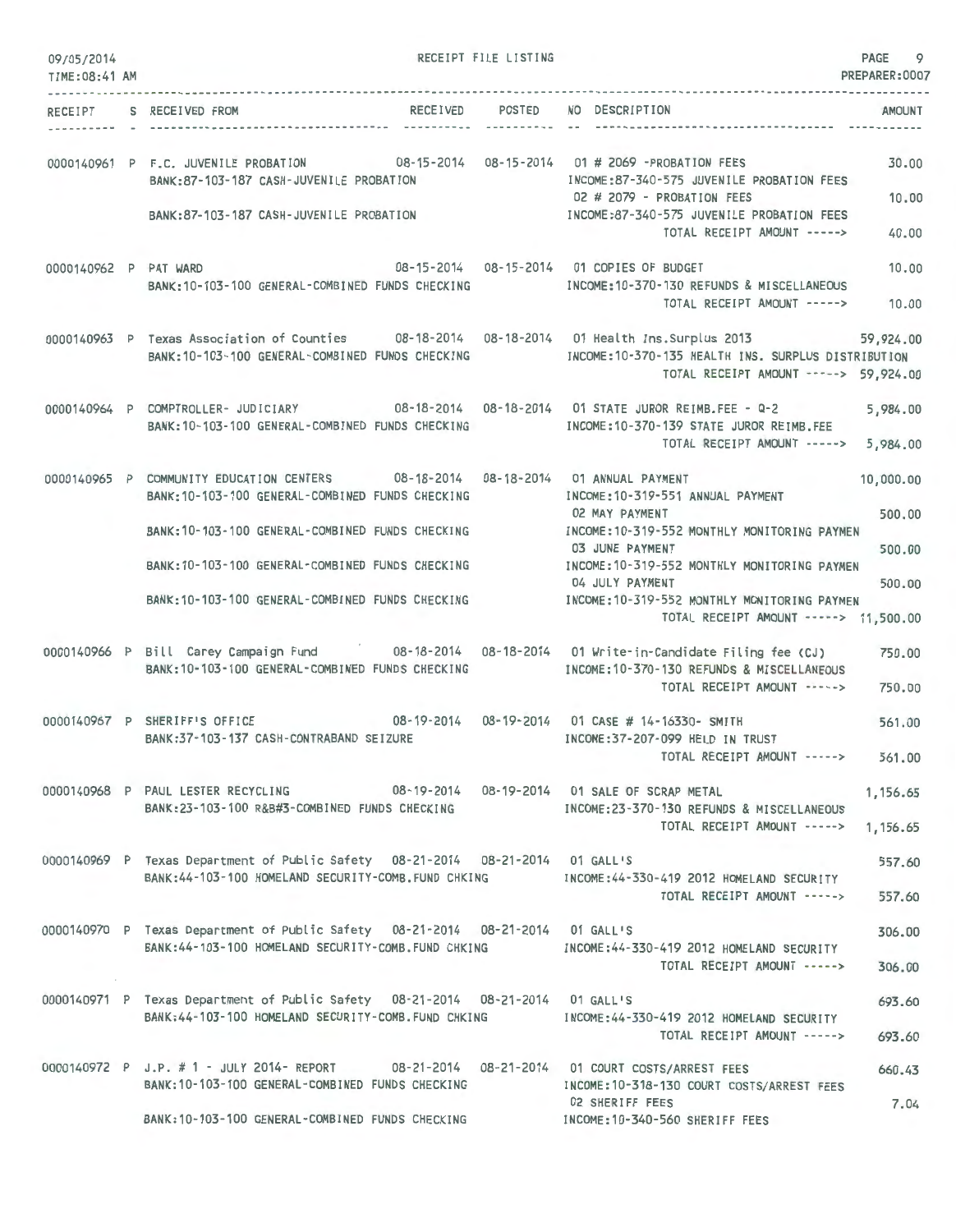| 09/05/2014<br>TIME: 08:41 AM | RECEIPT FILE LISTING                                                                                                                                                        | PAGE<br>PREPARER: 0007                                                                                                                                                         | 9    |
|------------------------------|-----------------------------------------------------------------------------------------------------------------------------------------------------------------------------|--------------------------------------------------------------------------------------------------------------------------------------------------------------------------------|------|
|                              | RECEIVED POSTED NO DESCRIPTION<br>RECEIPT S RECEIVED FROM                                                                                                                   | AMOUNT                                                                                                                                                                         |      |
|                              | 0000140961 P F.C. JUVENILE PROBATION 08-15-2014 08-15-2014 01 # 2069 -PROBATION FEES<br>BANK:87-103-187 CASH-JUVENILE PROBATION<br>BANK:87-103-187 CASH-JUVENILE PROBATION  | 30.00<br>INCOME:87-340-575 JUVENILE PROBATION FEES<br>02 # 2079 - PROBATION FEES<br>10.00<br>INCOME:87-340-575 JUVENILE PROBATION FEES<br>TOTAL RECEIPT AMOUNT -----><br>40.00 |      |
| 0000140962 P PAT WARD        | 08-15-2014  08-15-2014  01 COPIES OF BUDGET<br>BANK: 10-103-100 GENERAL-COMBINED FUNDS CHECKING                                                                             | 10.00<br>INCOME: 10-370-130 REFUNDS & MISCELLANEOUS<br>TOTAL RECEIPT AMOUNT -----><br>10.00                                                                                    |      |
|                              | 0000140963 P Texas Association of Counties 08-18-2014 08-18-2014 01 Health Ins.Surplus 2013 59,924.00<br>BANK: 10-103-100 GENERAL-COMBINED FUNDS CHECKING                   | INCOME: 10-370-135 HEALTH INS. SURPLUS DISTRIBUTION<br>TOTAL RECEIPT AMOUNT -----> 59,924.00                                                                                   |      |
|                              | 0000140964 P COMPTROLLER- JUDICIARY 08-18-2014 08-18-2014 01 STATE JUROR REIMB.FEE - Q-2<br>BANK: 10-103-100 GENERAL-COMBINED FUNDS CHECKING                                | 5,984.00<br>INCOME:10-370-139 STATE JUROR REIMB.FEE<br>TOTAL RECEIPT AMOUNT -----><br>5,984.00                                                                                 |      |
|                              | 0000140965 P COMMUNITY EDUCATION CENTERS 08-18-2014 08-18-2014 01 ANNUAL PAYMENT<br>BANK: 10-103-100 GENERAL-COMBINED FUNDS CHECKING                                        | 10,000.00<br>INCOME: 10-319-551 ANNUAL PAYMENT<br><b>02 MAY PAYMENT</b><br>500,00                                                                                              |      |
|                              | BANK: 10-103-100 GENERAL-COMBINED FUNDS CHECKING<br>BANK: 10-103-100 GENERAL-COMBINED FUNDS CHECKING                                                                        | INCOME: 10-319-552 MONTHLY MONITORING PAYMEN<br>03 JUNE PAYMENT<br>500.00<br>INCOME:10-319-552 MONTHLY MONITORING PAYMEN                                                       |      |
|                              | BANK: 10-103-100 GENERAL-COMBINED FUNDS CHECKING                                                                                                                            | 04 JULY PAYMENT<br>500.00<br>INCOME:10-319-552 MONTHLY MONITORING PAYMEN<br>TOTAL RECEIPT AMOUNT -----> 11,500.00                                                              |      |
|                              | 0000140966 P Bill Carey Campaign Fund 08-18-2014 08-18-2014 01 Write-in-Candidate Filing fee (CJ)<br>BANK: 10-103-100 GENERAL-COMBINED FUNDS CHECKING                       | 750.00<br>INCOME:10-370-130 REFUNDS & MISCELLANEOUS<br>TOTAL RECEIPT AMOUNT -----><br>750.00                                                                                   |      |
|                              | 0000140967 P SHERIFF'S OFFICE<br>BANK: 37-103-137 CASH-CONTRABAND SEIZURE                                                                                                   | 561.00<br>INCOME:37-207-099 HELD IN TRUST<br>TOTAL RECEIPT AMOUNT -----> 561.00                                                                                                |      |
|                              | 0000140968 P PAUL LESTER RECYCLING 08-19-2014 08-19-2014 01 SALE OF SCRAP METAL<br>BANK:23-103-100 R&B#3-COMBINED FUNDS CHECKING                                            | 1,156.65<br>INCOME:23-370-130 REFUNDS & MISCELLANEOUS                                                                                                                          |      |
|                              | 0000140969 P Texas Department of Public Safety 08-21-2014 08-21-2014 01 GALL'S                                                                                              | TOTAL RECEIPT AMOUNT -----><br>1,156.65<br>557.60                                                                                                                              |      |
|                              | BANK: 44-103-100 HOMELAND SECURITY-COMB. FUND CHKING                                                                                                                        | INCOME:44-330-419 2012 HOMELAND SECURITY<br>TOTAL RECEIPT AMOUNT -----><br>557.60                                                                                              |      |
|                              | 0000140970 P Texas Department of Public Safety 08-21-2014 08-21-2014 01 GALL'S<br>BANK:44-103-100 HOMELAND SECURITY-COMB.FUND CHKING MODE:44-330-419 2012 HOMELAND SECURITY | 306.00<br>TOTAL RECEIPT AMOUNT -----><br>306.00                                                                                                                                |      |
|                              | 0000140971 P Texas Department of Public Safety 08-21-2014 08-21-2014 01 GALL'S<br>BANK:44-103-100 HOMELAND SECURITY-COMB. FUND CHKING                                       | 693.60<br>INCOME:44-330-419 2012 HOMELAND SECURITY<br>TOTAL RECEIPT AMOUNT -----><br>693.60                                                                                    |      |
|                              | 0000140972 P J.P. #1 - JULY 2014- REPORT 08-21-2014 08-21-2014 01 COURT COSTS/ARREST FEES<br>BANK: 10-103-100 GENERAL-COMBINED FUNDS CHECKING                               | 660.43<br>INCOME: 10-318-130 COURT COSTS/ARREST FEES                                                                                                                           |      |
|                              | BANK: 10-103-100 GENERAL-COMBINED FUNDS CHECKING                                                                                                                            | 02 SHERIFF FEES<br>INCOME: 10-340-560 SHERIFF FEES                                                                                                                             | 7.04 |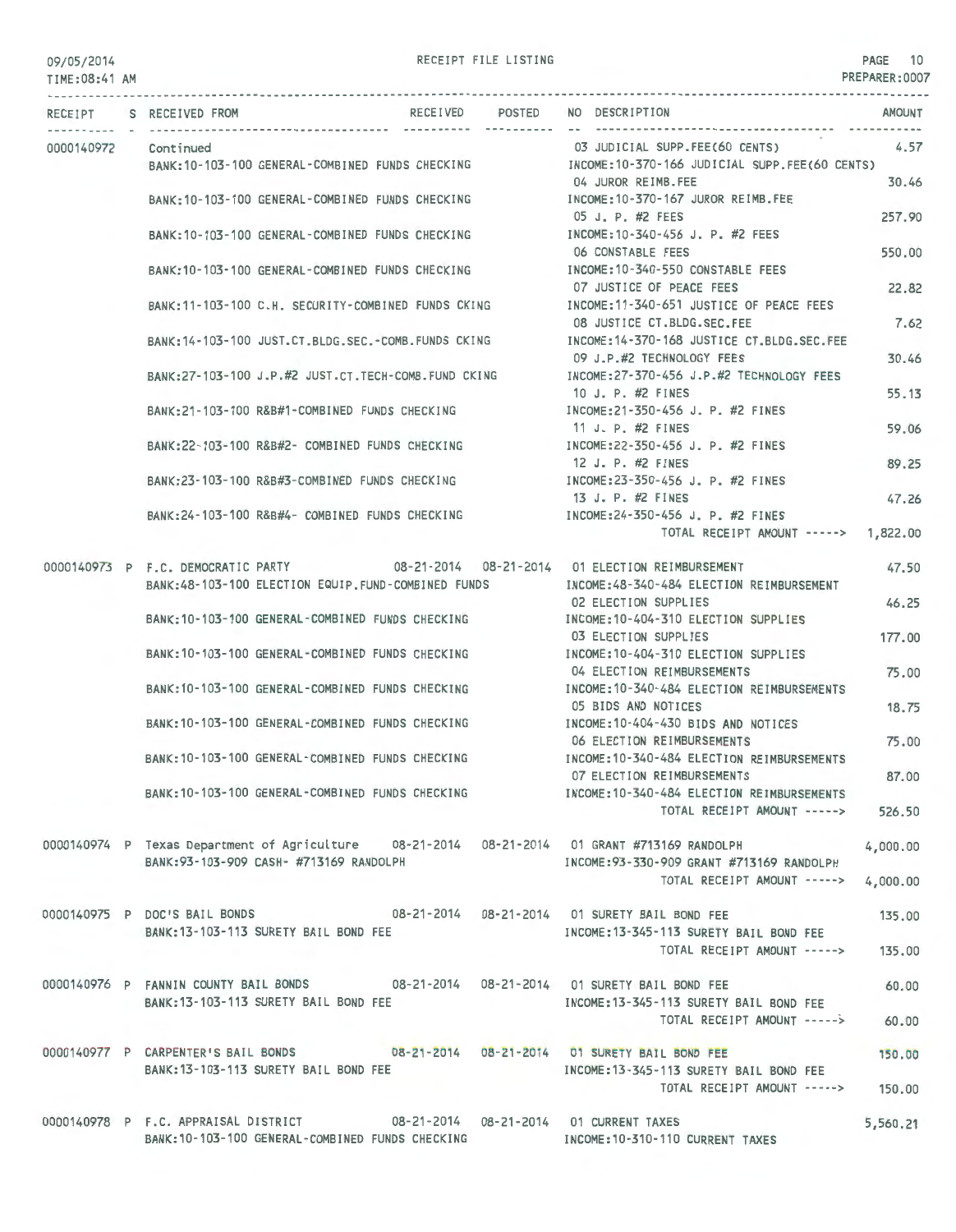### 09/05/2014 TIME:08:41 AM

### RECEIPT FILE LISTING **PAGE 10**

PREPARER:0007

|  | RECEIPT S RECEIVED FROM |                                                                             |  |  | RECEIVED POSTED NO DESCRIPTION                                                                                                 | AMOUNT   |
|--|-------------------------|-----------------------------------------------------------------------------|--|--|--------------------------------------------------------------------------------------------------------------------------------|----------|
|  | 0000140972 Continued    |                                                                             |  |  | 03 JUDICIAL SUPP.FEE(60 CENTS)                                                                                                 | 4.57     |
|  |                         | BANK: 10-103-100 GENERAL-COMBINED FUNDS CHECKING                            |  |  | INCOME:10-370-166 JUDICIAL SUPP.FEE(60 CENTS)<br>04 JUROR REIMB.FEE                                                            |          |
|  |                         | BANK:10-103-100 GENERAL-COMBINED FUNDS CHECKING                             |  |  | INCOME:10-370-167 JUROR REIMB.FEE                                                                                              | 30.46    |
|  |                         | BANK: 10-103-100 GENERAL-COMBINED FUNDS CHECKING                            |  |  | 05 J. P. #2 FEES<br>INCOME:10-340-456 J. P. #2 FEES                                                                            | 257.90   |
|  |                         |                                                                             |  |  | 06 CONSTABLE FEES                                                                                                              | 550.00   |
|  |                         | BANK:10-103-100 GENERAL-COMBINED FUNDS CHECKING                             |  |  | INCOME:10-340-550 CONSTABLE FEES<br>07 JUSTICE OF PEACE FEES                                                                   | 22.82    |
|  |                         | BANK:11-103-100 C.H. SECURITY-COMBINED FUNDS CKING                          |  |  | INCOME:11-340-651 JUSTICE OF PEACE FEES<br>08 JUSTICE CT.BLDG.SEC.FEE                                                          | 7.62     |
|  |                         | BANK:14-103-100 JUST.CT.BLDG.SEC.-COMB.FUNDS CKING                          |  |  | INCOME: 14-370-168 JUSTICE CT.BLDG.SEC.FEE<br>09 J.P.#2 TECHNOLOGY FEES                                                        | 30.46    |
|  |                         | BANK: 27-103-100 J.P.#2 JUST.CT. TECH-COMB. FUND CKING                      |  |  | INCOME:27-370-456 J.P.#2 TECHNOLOGY FEES<br>10 J. P. #2 FINES                                                                  | 55.13    |
|  |                         | BANK: 21-103-100 R&B#1-COMBINED FUNDS CHECKING                              |  |  | INCOME:21-350-456 J. P. #2 FINES                                                                                               |          |
|  |                         | BANK: 22-103-100 R&B#2- COMBINED FUNDS CHECKING                             |  |  | 11 J. P. #2 FINES<br>INCOME:22-350-456 J. P. #2 FINES                                                                          | 59.06    |
|  |                         | BANK: 23-103-100 R&B#3-COMBINED FUNDS CHECKING                              |  |  | 12 J. P. #2 FINES<br>INCOME:23-350-456 J. P. #2 FINES                                                                          | 89.25    |
|  |                         |                                                                             |  |  | 13 J. P. #2 FINES                                                                                                              | 47.26    |
|  |                         | BANK: 24-103-100 R&B#4- COMBINED FUNDS CHECKING                             |  |  | INCOME: 24-350-456 J. P. #2 FINES<br>TOTAL RECEIPT AMOUNT -----> 1,822.00                                                      |          |
|  |                         |                                                                             |  |  | 0000140973 P F.C. DEMOCRATIC PARTY 08-21-2014 08-21-2014 01 ELECTION REIMBURSEMENT                                             | 47.50    |
|  |                         | BANK:48-103-100 ELECTION EQUIP.FUND-COMBINED FUNDS                          |  |  | INCOME:48-340-484 ELECTION REIMBURSEMENT<br>02 ELECTION SUPPLIES                                                               |          |
|  |                         | BANK: 10-103-100 GENERAL-COMBINED FUNDS CHECKING                            |  |  | INCOME:10-404-310 ELECTION SUPPLIES                                                                                            | 46.25    |
|  |                         | BANK: 10-103-100 GENERAL-COMBINED FUNDS CHECKING                            |  |  | 03 ELECTION SUPPLIES<br>INCOME:10-404-310 ELECTION SUPPLIES                                                                    | 177,00   |
|  |                         |                                                                             |  |  | 04 ELECTION REIMBURSEMENTS                                                                                                     | 75.00    |
|  |                         | BANK:10-103-100 GENERAL-COMBINED FUNDS CHECKING                             |  |  | INCOME: 10-340-484 ELECTION REIMBURSEMENTS<br>05 BIDS AND NOTICES                                                              | 18.75    |
|  |                         | BANK: 10-103-100 GENERAL-COMBINED FUNDS CHECKING                            |  |  | INCOME:10-404-430 BIDS AND NOTICES                                                                                             |          |
|  |                         | BANK:10-103-100 GENERAL-COMBINED FUNDS CHECKING                             |  |  | 06 ELECTION REIMBURSEMENTS<br>INCOME:10-340-484 ELECTION REIMBURSEMENTS                                                        | 75.00    |
|  |                         | BANK: 10-103-100 GENERAL-COMBINED FUNDS CHECKING                            |  |  | 07 ELECTION REIMBURSEMENTS                                                                                                     | 87.00    |
|  |                         |                                                                             |  |  | INCOME: 10-340-484 ELECTION REIMBURSEMENTS<br>TOTAL RECEIPT AMOUNT -----> 526.50                                               |          |
|  |                         |                                                                             |  |  | 0000140974 P Texas Department of Agriculture 08-21-2014 08-21-2014 01 GRANT #713169 RANDOLPH 4,000.00                          |          |
|  |                         | BANK:93-103-909 CASH- #713169 RANDOLPH                                      |  |  | INCOME: 93-330-909 GRANT #713169 RANDOLPH<br>TOTAL RECEIPT AMOUNT ----->                                                       | 4,000.00 |
|  |                         |                                                                             |  |  | 0000140975 P DOC'S BAIL BONDS 08-21-2014 08-21-2014 01 SURETY BAIL BOND FEE                                                    | 135,00   |
|  |                         | BANK: 13-103-113 SURETY BAIL BOND FEE                                       |  |  | INCOME: 13-345-113 SURETY BAIL BOND FEE<br>TOTAL RECEIPT AMOUNT -----> 135.00                                                  |          |
|  |                         |                                                                             |  |  |                                                                                                                                |          |
|  |                         | BANK: 13-103-113 SURETY BAIL BOND FEE                                       |  |  | 0000140976 P FANNIN COUNTY BAIL BONDS 08-21-2014 08-21-2014 01 SURETY BAIL BOND FEE<br>INCOME: 13-345-113 SURETY BAIL BOND FEE | 60.00    |
|  |                         |                                                                             |  |  | TOTAL RECEIPT AMOUNT ----->                                                                                                    | 60.00    |
|  |                         |                                                                             |  |  | 0000140977 P CARPENTER'S BAIL BONDS 08-21-2014 08-21-2014 01 SURETY BAIL BOND FEE                                              | 150.00   |
|  |                         | BANK: 13-103-113 SURETY BAIL BOND FEE                                       |  |  | INCOME:13-345-113 SURETY BAIL BOND FEE<br>TOTAL RECEIPT AMOUNT ----->                                                          | 150.00   |
|  |                         | 0000140978 P F.C. APPRAISAL DISTRICT 08-21-2014 08-21-2014 01 CURRENT TAXES |  |  | BANK:10-103-100 GENERAL-COMBINED FUNDS CHECKING MODE:10-310-110 CURRENT TAXES                                                  | 5,560.21 |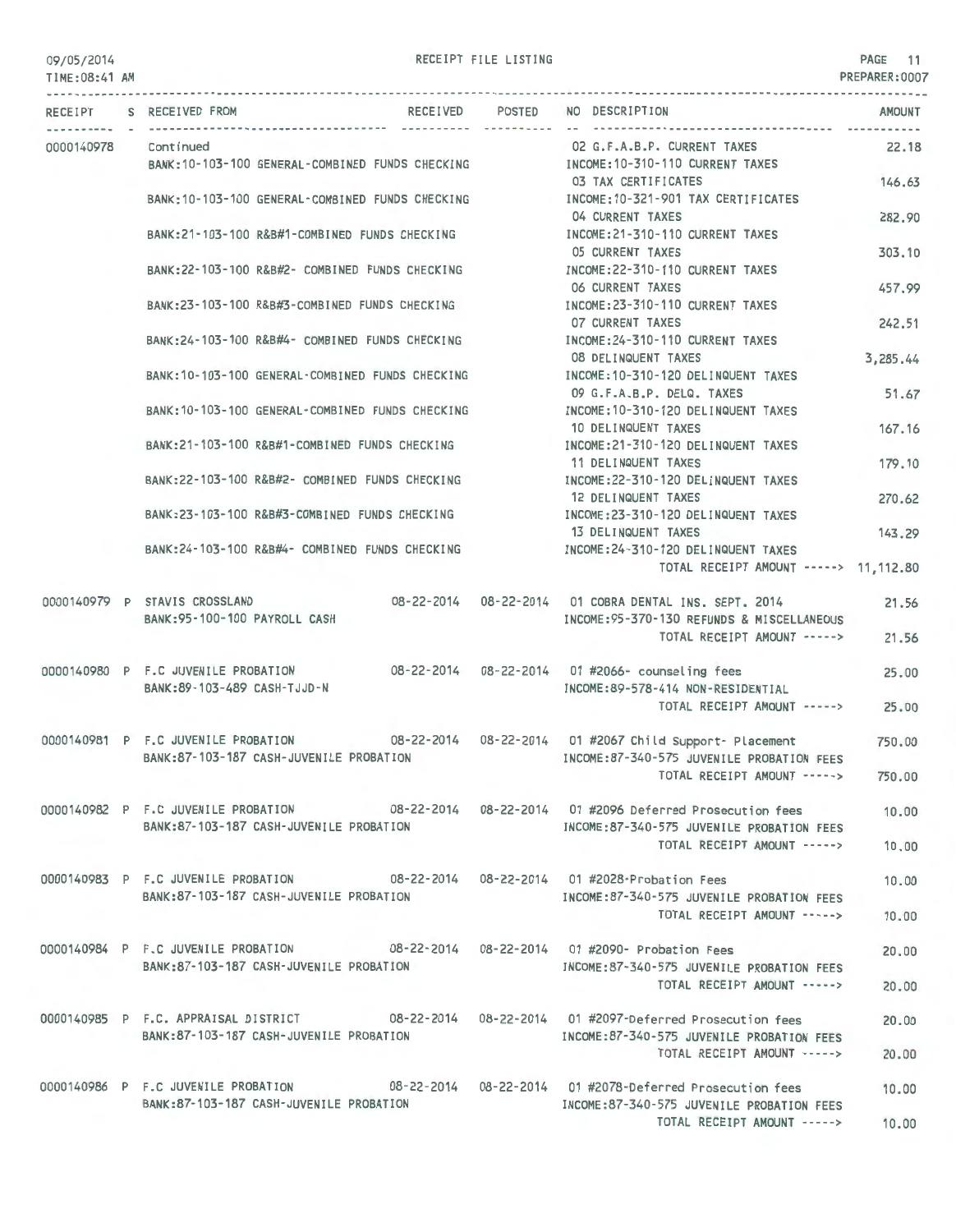### 09/05/2014 TIME:08 :41 AM

RECEIPT FILE LISTING

|  | RECEIPT S RECEIVED FROM                                                                       | ------ ---------- -- - | RECEIVED POSTED NO DESCRIPTION                                                                                        | AMOUNT<br>----------- |
|--|-----------------------------------------------------------------------------------------------|------------------------|-----------------------------------------------------------------------------------------------------------------------|-----------------------|
|  | 0000140978 Continued<br>BANK: 10-103-100 GENERAL-COMBINED FUNDS CHECKING                      |                        | 02 G.F.A.B.P. CURRENT TAXES<br>INCOME:10-310-110 CURRENT TAXES                                                        | 22.18                 |
|  | BANK: 10-103-100 GENERAL-COMBINED FUNDS CHECKING                                              |                        | 03 TAX CERTIFICATES<br>INCOME:10-321-901 TAX CERTIFICATES                                                             | 146.63                |
|  | BANK:21-103-100 R&B#1-COMBINED FUNDS CHECKING                                                 |                        | 04 CURRENT TAXES<br>INCOME: 21-310-110 CURRENT TAXES                                                                  | 282.90                |
|  | BANK: 22-103-100 R&B#2- COMBINED FUNDS CHECKING                                               |                        | 05 CURRENT TAXES<br>INCOME:22-310-110 CURRENT TAXES                                                                   | 303.10                |
|  |                                                                                               |                        | 06 CURRENT TAXES                                                                                                      | 457.99                |
|  | BANK: 23-103-100 R&B#3-COMBINED FUNDS CHECKING                                                |                        | INCOME: 23-310-110 CURRENT TAXES<br>07 CURRENT TAXES                                                                  | 242.51                |
|  | BANK:24-103-100 R&B#4- COMBINED FUNDS CHECKING                                                |                        | INCOME: 24-310-110 CURRENT TAXES<br>08 DELINQUENT TAXES                                                               | 3,285.44              |
|  | BANK: 10-103-100 GENERAL-COMBINED FUNDS CHECKING                                              |                        | INCOME:10-310-120 DELINQUENT TAXES<br>09 G.F.A.B.P. DELQ. TAXES                                                       | 51.67                 |
|  | BANK: 10-103-100 GENERAL-COMBINED FUNDS CHECKING                                              |                        | INCOME: 10-310-120 DELINQUENT TAXES<br>10 DELINQUENT TAXES                                                            | 167.16                |
|  | BANK:21-103-100 R&B#1-COMBINED FUNDS CHECKING                                                 |                        | INCOME:21-310-120 DELINQUENT TAXES<br>11 DELINQUENT TAXES                                                             | 179,10                |
|  | BANK:22-103-100 R&B#2- COMBINED FUNDS CHECKING                                                |                        | INCOME:22-310-120 DELINQUENT TAXES<br>12 DELINQUENT TAXES                                                             | 270.62                |
|  | BANK:23-103-100 R&B#3-COMBINED FUNDS CHECKING                                                 |                        | INCOME:23-310-120 DELINQUENT TAXES<br>13 DELINQUENT TAXES                                                             | 143.29                |
|  | BANK:24-103-100 R&B#4- COMBINED FUNDS CHECKING                                                |                        | INCOME:24-310-120 DELINQUENT TAXES                                                                                    |                       |
|  |                                                                                               |                        | TOTAL RECEIPT AMOUNT -----> 11,112.80                                                                                 |                       |
|  | 0000140979 P STAVIS CROSSLAND<br>BANK: 95-100-100 PAYROLL CASH                                |                        | 08-22-2014   08-22-2014   01 COBRA DENTAL INS. SEPT. 2014<br>INCOME: 95-370-130 REFUNDS & MISCELLANEOUS               | 21.56                 |
|  |                                                                                               |                        | TOTAL RECEIPT AMOUNT ----->                                                                                           | 21.56                 |
|  | 0000140980 P F.C JUVENILE PROBATION<br>BANK:89-103-489 CASH-TJJD-N                            |                        | 08-22-2014  08-22-2014  01 #2066- counseling fees<br>INCOME:89-578-414 NON-RESIDENTIAL<br>TOTAL RECEIPT AMOUNT -----> | 25,00<br>25.00        |
|  |                                                                                               |                        |                                                                                                                       |                       |
|  | 0000140981 P F.C JUVENILE PROBATION<br>BANK:87-103-187 CASH-JUVENILE PROBATION                |                        | INCOME:87-340-575 JUVENILE PROBATION FEES<br>TOTAL RECEIPT AMOUNT ----->                                              | 750,00<br>750.00      |
|  | 0000140982 P F.C JUVENILE PROBATION 08-22-2014 08-22-2014 01 #2096 Deferred Prosecution fees  |                        |                                                                                                                       | 10.00                 |
|  | BANK:87-103-187 CASH-JUVENILE PROBATION                                                       |                        | INCOME:87-340-575 JUVENILE PROBATION FEES<br>TOTAL RECEIPT AMOUNT ----->                                              | 10.00                 |
|  | 0000140983 P F.C JUVENILE PROBATION 08-22-2014 08-22-2014 01 #2028-Probation Fees             |                        |                                                                                                                       | 10.00                 |
|  | BANK:87-103-187 CASH-JUVENILE PROBATION                                                       |                        | INCOME:87-340-575 JUVENILE PROBATION FEES<br>TOTAL RECEIPT AMOUNT ----->                                              | 10.00                 |
|  | 0000140984 P F.C JUVENILE PROBATION 608-22-2014 08-22-2014 01 #2090- Probation Fees           |                        |                                                                                                                       | 20,00                 |
|  | BANK:87-103-187 CASH-JUVENILE PROBATION                                                       |                        | INCOME:87-340-575 JUVENILE PROBATION FEES<br>TOTAL RECEIPT AMOUNT ----->                                              | 20,00                 |
|  | 0000140985 P F.C. APPRAISAL DISTRICT 08-22-2014 08-22-2014 01 #2097-Deferred Prosecution fees |                        |                                                                                                                       | 20,00                 |
|  | BANK:87-103-187 CASH-JUVENILE PROBATION                                                       |                        | INCOME:87-340-575 JUVENILE PROBATION FEES<br>TOTAL RECEIPT AMOUNT ----->                                              | 20.00                 |
|  | 0000140986 P F.C JUVENILE PROBATION 08-22-2014 08-22-2014 01 #2078-Deferred Prosecution fees  |                        |                                                                                                                       | 10.00                 |
|  | BANK:87-103-187 CASH-JUVENILE PROBATION                                                       |                        | INCOME:87-340-575 JUVENILE PROBATION FEES<br>TOTAL RECEIPT AMOUNT ----->                                              | 10.00                 |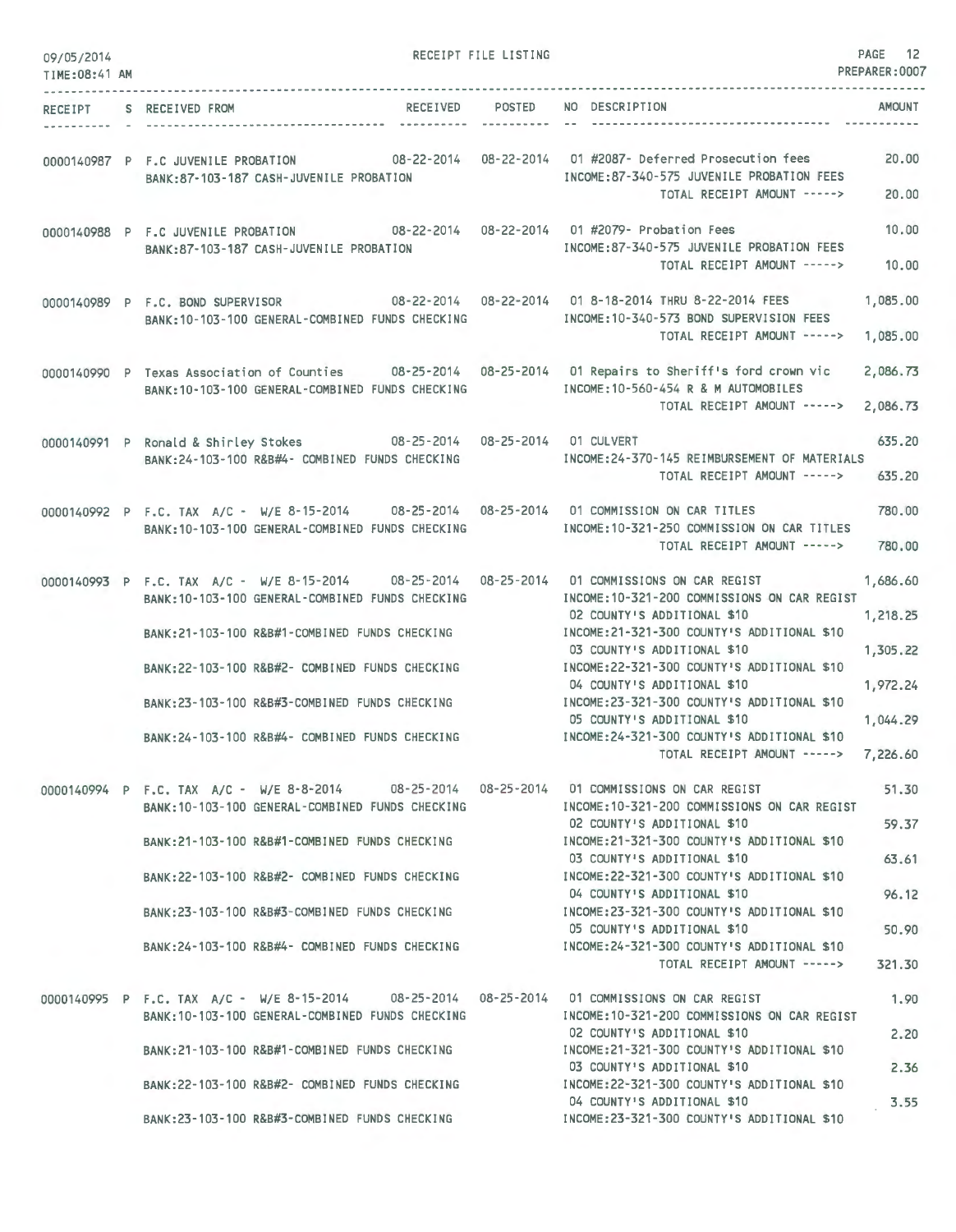| 09/05/2014<br>TIME:08:41 AM |                                                                                                                                                                                                                                                                                                                                                       | RECEIPT FILE LISTING  |                                                                                                                                                                                                                                                                                                                                                                                                                                            | PAGE 12<br>PREPARER: 0007                                |
|-----------------------------|-------------------------------------------------------------------------------------------------------------------------------------------------------------------------------------------------------------------------------------------------------------------------------------------------------------------------------------------------------|-----------------------|--------------------------------------------------------------------------------------------------------------------------------------------------------------------------------------------------------------------------------------------------------------------------------------------------------------------------------------------------------------------------------------------------------------------------------------------|----------------------------------------------------------|
| RECEIPT<br>----------       | RECEIVED<br>S RECEIVED FROM                                                                                                                                                                                                                                                                                                                           | POSTED<br>----------- | NO DESCRIPTION                                                                                                                                                                                                                                                                                                                                                                                                                             | <b>AMOUNT</b>                                            |
|                             | 0000140987 P F.C JUVENILE PROBATION 08-22-2014 08-22-2014 01 #2087- Deferred Prosecution fees<br>BANK:87-103-187 CASH-JUVENILE PROBATION                                                                                                                                                                                                              |                       | INCOME:87-340-575 JUVENILE PROBATION FEES<br>TOTAL RECEIPT AMOUNT ----->                                                                                                                                                                                                                                                                                                                                                                   | 20,00<br>20,00                                           |
|                             | 0000140988 P F.C JUVENILE PROBATION 08-22-2014 08-22-2014 01 #2079- Probation Fees<br>BANK:87-103-187 CASH-JUVENILE PROBATION                                                                                                                                                                                                                         |                       | INCOME:87-340-575 JUVENILE PROBATION FEES<br>TOTAL RECEIPT AMOUNT ----->                                                                                                                                                                                                                                                                                                                                                                   | 10.00<br>10.00                                           |
|                             | 0000140989 P F.C. BOND SUPERVISOR<br>BANK: 10-103-100 GENERAL-COMBINED FUNDS CHECKING                                                                                                                                                                                                                                                                 |                       | 08-22-2014  08-22-2014  01 8-18-2014  THRU 8-22-2014  FEES<br>INCOME:10-340-573 BOND SUPERVISION FEES<br>TOTAL RECEIPT AMOUNT ----->                                                                                                                                                                                                                                                                                                       | 1,085.00<br>1,085.00                                     |
|                             | 0000140990 P Texas Association of Counties 08-25-2014 08-25-2014 01 Repairs to Sheriff's ford crown vic<br>BANK: 10-103-100 GENERAL-COMBINED FUNDS CHECKING                                                                                                                                                                                           |                       | INCOME: 10-560-454 R & M AUTOMOBILES<br>TOTAL RECEIPT AMOUNT ----->                                                                                                                                                                                                                                                                                                                                                                        | 2,086.73<br>2,086.73                                     |
|                             | 0000140991 P Ronald & Shirley Stokes 08-25-2014 08-25-2014<br>BANK:24-103-100 R&B#4- COMBINED FUNDS CHECKING                                                                                                                                                                                                                                          |                       | 01 CULVERT<br>INCOME: 24-370-145 REIMBURSEMENT OF MATERIALS<br>TOTAL RECEIPT AMOUNT ----->                                                                                                                                                                                                                                                                                                                                                 | 635.20<br>635.20                                         |
|                             | 0000140992 P F.C. TAX A/C - W/E 8-15-2014 08-25-2014 08-25-2014 01 COMMISSION ON CAR TITLES<br>BANK: 10-103-100 GENERAL-COMBINED FUNDS CHECKING                                                                                                                                                                                                       |                       | INCOME: 10-321-250 COMMISSION ON CAR TITLES<br>TOTAL RECEIPT AMOUNT ----->                                                                                                                                                                                                                                                                                                                                                                 | 780.00<br>780,00                                         |
|                             | 0000140993 P F.C. TAX A/C - W/E 8-15-2014<br>08-25-2014<br>BANK: 10-103-100 GENERAL-COMBINED FUNDS CHECKING<br>BANK: 21-103-100 R&B#1-COMBINED FUNDS CHECKING<br>BANK:22-103-100 R&B#2- COMBINED FUNDS CHECKING<br>BANK: 23-103-100 R&B#3-COMBINED FUNDS CHECKING<br>BANK: 24-103-100 R&B#4- COMBINED FUNDS CHECKING                                  | 08-25-2014            | 01 COMMISSIONS ON CAR REGIST<br>INCOME:10-321-200 COMMISSIONS ON CAR REGIST<br>02 COUNTY'S ADDITIONAL \$10<br>INCOME: 21-321-300 COUNTY'S ADDITIONAL \$10<br>03 COUNTY'S ADDITIONAL \$10<br>INCOME:22-321-300 COUNTY'S ADDITIONAL \$10<br>04 COUNTY'S ADDITIONAL \$10<br>INCOME: 23-321-300 COUNTY'S ADDITIONAL \$10<br>05 COUNTY'S ADDITIONAL \$10<br>INCOME: 24-321-300 COUNTY'S ADDITIONAL \$10<br>TOTAL RECEIPT AMOUNT -----> 7,226.60 | 1.686.60<br>1,218.25<br>1,305.22<br>1,972.24<br>1,044.29 |
|                             | 0000140994 P F.C. TAX A/C - W/E 8-8-2014 08-25-2014 08-25-2014 01 COMMISSIONS ON CAR REGIST<br>BANK: 10-103-100 GENERAL-COMBINED FUNDS CHECKING<br>BANK:21-103-100 R&B#1-COMBINED FUNDS CHECKING<br>BANK:22-103-100 R&B#2- COMBINED FUNDS CHECKING<br>BANK:23-103-100 R&B#3-COMBINED FUNDS CHECKING<br>BANK:24-103-100 R&B#4- COMBINED FUNDS CHECKING |                       | INCOME: 10-321-200 COMMISSIONS ON CAR REGIST<br>02 COUNTY'S ADDITIONAL \$10<br>INCOME: 21-321-300 COUNTY'S ADDITIONAL \$10<br>03 COUNTY'S ADDITIONAL \$10<br>INCOME: 22-321-300 COUNTY'S ADDITIONAL \$10<br>04 COUNTY'S ADDITIONAL \$10<br>INCOME: 23-321-300 COUNTY'S ADDITIONAL \$10<br>05 COUNTY'S ADDITIONAL \$10<br>INCOME: 24-321-300 COUNTY'S ADDITIONAL \$10<br>TOTAL RECEIPT AMOUNT ----->                                        | 51,30<br>59.37<br>63.61<br>96.12<br>50.90<br>321.30      |
|                             | 0000140995 P F.C. TAX A/C - W/E 8-15-2014 08-25-2014 08-25-2014 01 COMMISSIONS ON CAR REGIST<br>BANK:10-103-100 GENERAL-COMBINED FUNDS CHECKING<br>BANK:21-103-100 R&B#1-COMBINED FUNDS CHECKING<br>BANK:22-103-100 R&B#2- COMBINED FUNDS CHECKING<br>BANK:23-103-100 R&B#3-COMBINED FUNDS CHECKING                                                   |                       | INCOME:10-321-200 COMMISSIONS ON CAR REGIST<br>02 COUNTY'S ADDITIONAL \$10<br>INCOME:21-321-300 COUNTY'S ADDITIONAL \$10<br>03 COUNTY'S ADDITIONAL \$10<br>INCOME:22-321-300 COUNTY'S ADDITIONAL \$10<br>04 COUNTY'S ADDITIONAL \$10<br>INCOME: 23-321-300 COUNTY'S ADDITIONAL \$10                                                                                                                                                        | 1.90<br>2.20<br>2.36<br>3.55                             |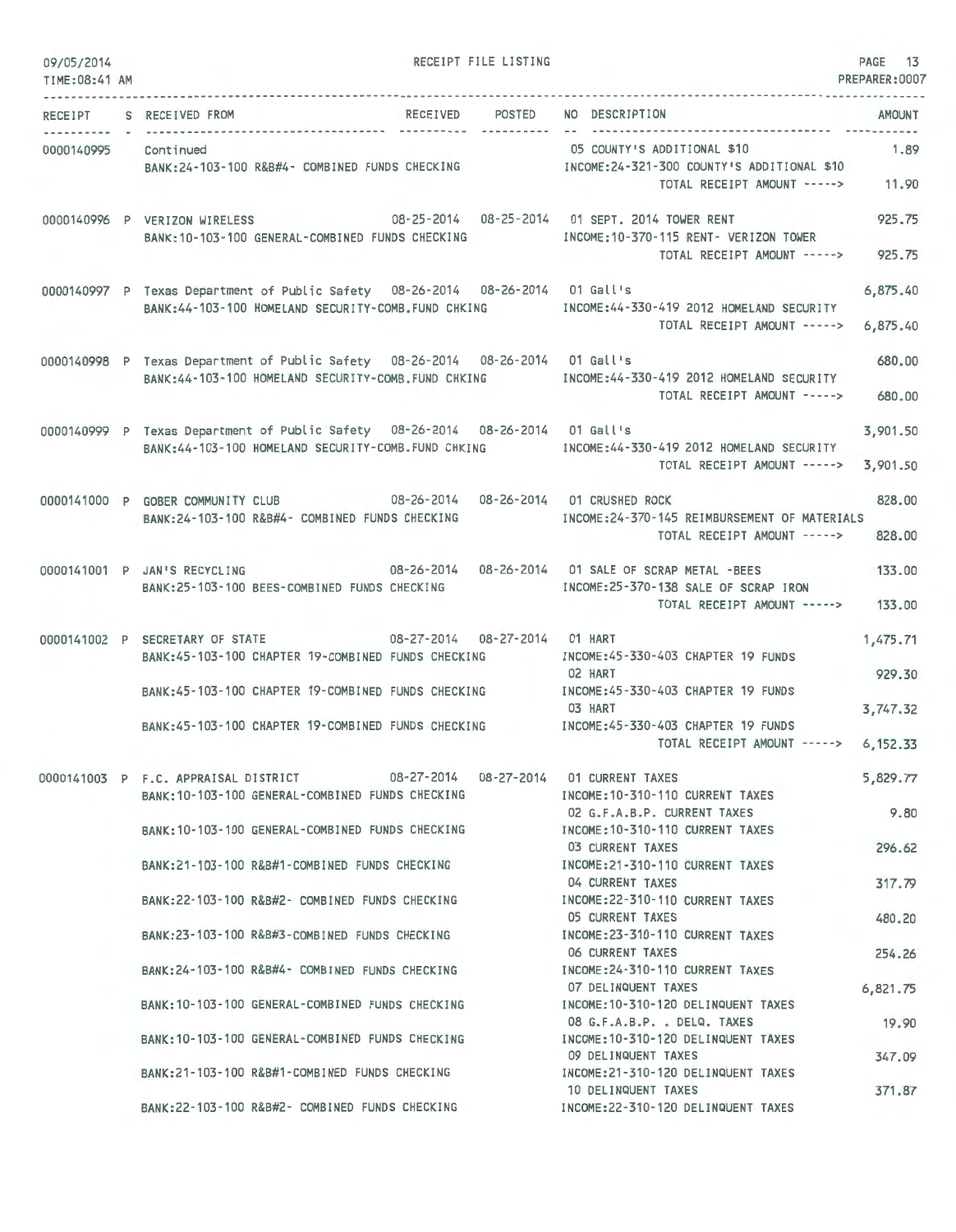| 09/05/2014             |                                                                                          | RECEIPT FILE LISTING |                                                                                 | PAGE 13        |
|------------------------|------------------------------------------------------------------------------------------|----------------------|---------------------------------------------------------------------------------|----------------|
| TIME: 08:41 AM         |                                                                                          |                      |                                                                                 | PREPARER: 0007 |
| RECEIPT<br>----------- | RECEIVED<br>S RECEIVED FROM                                                              | POSTED               | NO DESCRIPTION                                                                  | <b>AMOUNT</b>  |
| 0000140995 Continued   |                                                                                          |                      | 05 COUNTY'S ADDITIONAL \$10                                                     | 1.89           |
|                        | BANK:24-103-100 R&B#4- COMBINED FUNDS CHECKING                                           |                      | INCOME:24-321-300 COUNTY'S ADDITIONAL \$10<br>TOTAL RECEIPT AMOUNT -----> 11.90 |                |
|                        | 0000140996 P VERIZON WIRELESS 08-25-2014 08-25-2014 01 SEPT. 2014 TOWER RENT             |                      |                                                                                 | 925.75         |
|                        | BANK:10-103-100 GENERAL-COMBINED FUNDS CHECKING                                          |                      | INCOME:10-370-115 RENT- VERIZON TOWER<br>TOTAL RECEIPT AMOUNT ----->            | 925.75         |
|                        | 0000140997 P Texas Department of Public Safety 08-26-2014 08-26-2014 01 Gall's           |                      |                                                                                 | 6,875.40       |
|                        | BANK: 44-103-100 HOMELAND SECURITY-COMB. FUND CHKING                                     |                      | INCOME:44-330-419 2012 HOMELAND SECURITY                                        |                |
|                        |                                                                                          |                      | TOTAL RECEIPT AMOUNT ----->                                                     | 6,875.40       |
|                        | 0000140998 P Texas Department of Public Safety 08-26-2014 08-26-2014 01 Gall's           |                      |                                                                                 | 680,00         |
|                        | BANK:44-103-100 HOMELAND SECURITY-COMB.FUND CHKING                                       |                      | INCOME: 44-330-419 2012 HOMELAND SECURITY                                       |                |
|                        |                                                                                          |                      | TOTAL RECEIPT AMOUNT ----->                                                     | 680.00         |
|                        | 0000140999 P Texas Department of Public Safety 08-26-2014 08-26-2014 01 Gall's           |                      |                                                                                 | 3,901.50       |
|                        | BANK:44-103-100 HOMELAND SECURITY-COMB.FUND CHKING                                       |                      | INCOME: 44-330-419 2012 HOMELAND SECURITY<br>TOTAL RECEIPT AMOUNT ----->        | 3,901.50       |
|                        | 0000141000 P GOBER COMMUNITY CLUB 08-26-2014 08-26-2014 01 CRUSHED ROCK                  |                      |                                                                                 | 828.00         |
|                        | BANK:24-103-100 R&B#4- COMBINED FUNDS CHECKING                                           |                      | INCOME: 24-370-145 REIMBURSEMENT OF MATERIALS                                   |                |
|                        |                                                                                          |                      | TOTAL RECEIPT AMOUNT ----->                                                     | 828,00         |
|                        | 0000141001 P JAN'S RECYCLING 08-26-2014 08-26-2014 01 SALE OF SCRAP METAL -BEES          |                      |                                                                                 | 133.00         |
|                        | BANK:25-103-100 BEES-COMBINED FUNDS CHECKING                                             |                      | INCOME:25-370-138 SALE OF SCRAP IRON<br>TOTAL RECEIPT AMOUNT ----->             | 133.00         |
|                        |                                                                                          |                      |                                                                                 |                |
|                        | 08-27-2014 08-27-2014 01 HART<br>0000141002 P SECRETARY OF STATE                         |                      |                                                                                 | 1,475.71       |
|                        | BANK:45-103-100 CHAPTER 19-COMBINED FUNDS CHECKING                                       |                      | INCOME:45-330-403 CHAPTER 19 FUNDS<br>02 HART                                   | 929.30         |
|                        | BANK:45-103-100 CHAPTER 19-COMBINED FUNDS CHECKING                                       |                      | INCOME: 45-330-403 CHAPTER 19 FUNDS                                             |                |
|                        | BANK:45-103-100 CHAPTER 19-COMBINED FUNDS CHECKING                                       |                      | 03 HART<br>INCOME:45-330-403 CHAPTER 19 FUNDS                                   | 3,747.32       |
|                        |                                                                                          |                      | TOTAL RECEIPT AMOUNT ----->                                                     | 6,152.33       |
|                        |                                                                                          |                      |                                                                                 |                |
|                        | 0000141003 P F.C. APPRAISAL DISTRICT<br>BANK: 10-103-100 GENERAL-COMBINED FUNDS CHECKING |                      | 08-27-2014  08-27-2014  01 CURRENT TAXES<br>INCOME: 10-310-110 CURRENT TAXES    | 5,829.77       |
|                        |                                                                                          |                      | 02 G.F.A.B.P. CURRENT TAXES                                                     | 9.80           |
|                        | RANK: 10-103-100 GENERAL-COMBINED FUNDS CHECKING                                         |                      | INCOME: 10-310-110 CURRENT TAXES<br>03 CURRENT TAXES                            | 296.62         |
|                        | BANK:21-103-100 R&B#1-COMBINED FUNDS CHECKING                                            |                      | INCOME: 21-310-110 CURRENT TAXES                                                |                |
|                        |                                                                                          |                      | 04 CURRENT TAXES                                                                | 317.79         |
|                        | BANK:22-103-100 R&B#2- COMBINED FUNDS CHECKING                                           |                      | INCOME: 22-310-110 CURRENT TAXES<br>05 CURRENT TAXES                            | 480.20         |
|                        | BANK:23-103-100 R&B#3-COMBINED FUNDS CHECKING                                            |                      | INCOME: 23-310-110 CURRENT TAXES                                                |                |
|                        |                                                                                          |                      | 06 CURRENT TAXES<br>INCOME: 24-310-110 CURRENT TAXES                            | 254.26         |
|                        | BANK:24-103-100 R&B#4- COMBINED FUNDS CHECKING                                           |                      | 07 DELINQUENT TAXES                                                             | 6,821.75       |
|                        | BANK: 10-103-100 GENERAL-COMBINED FUNDS CHECKING                                         |                      | INCOME: 10-310-120 DELINQUENT TAXES                                             |                |
|                        | BANK: 10-103-100 GENERAL-COMBINED FUNDS CHECKING                                         |                      | 08 G.F.A.B.P. , DELQ. TAXES<br>INCOME: 10-310-120 DELINQUENT TAXES              | 19.90          |
|                        |                                                                                          |                      | 09 DELINQUENT TAXES                                                             | 347.09         |
|                        | BANK:21-103-100 R&B#1-COMBINED FUNDS CHECKING                                            |                      | INCOME:21-310-120 DELINQUENT TAXES<br>10 DELINQUENT TAXES                       | 371.87         |
|                        | BANK:22-103-100 R&B#2- COMBINED FUNDS CHECKING                                           |                      | INCOME:22-310-120 DELINQUENT TAXES                                              |                |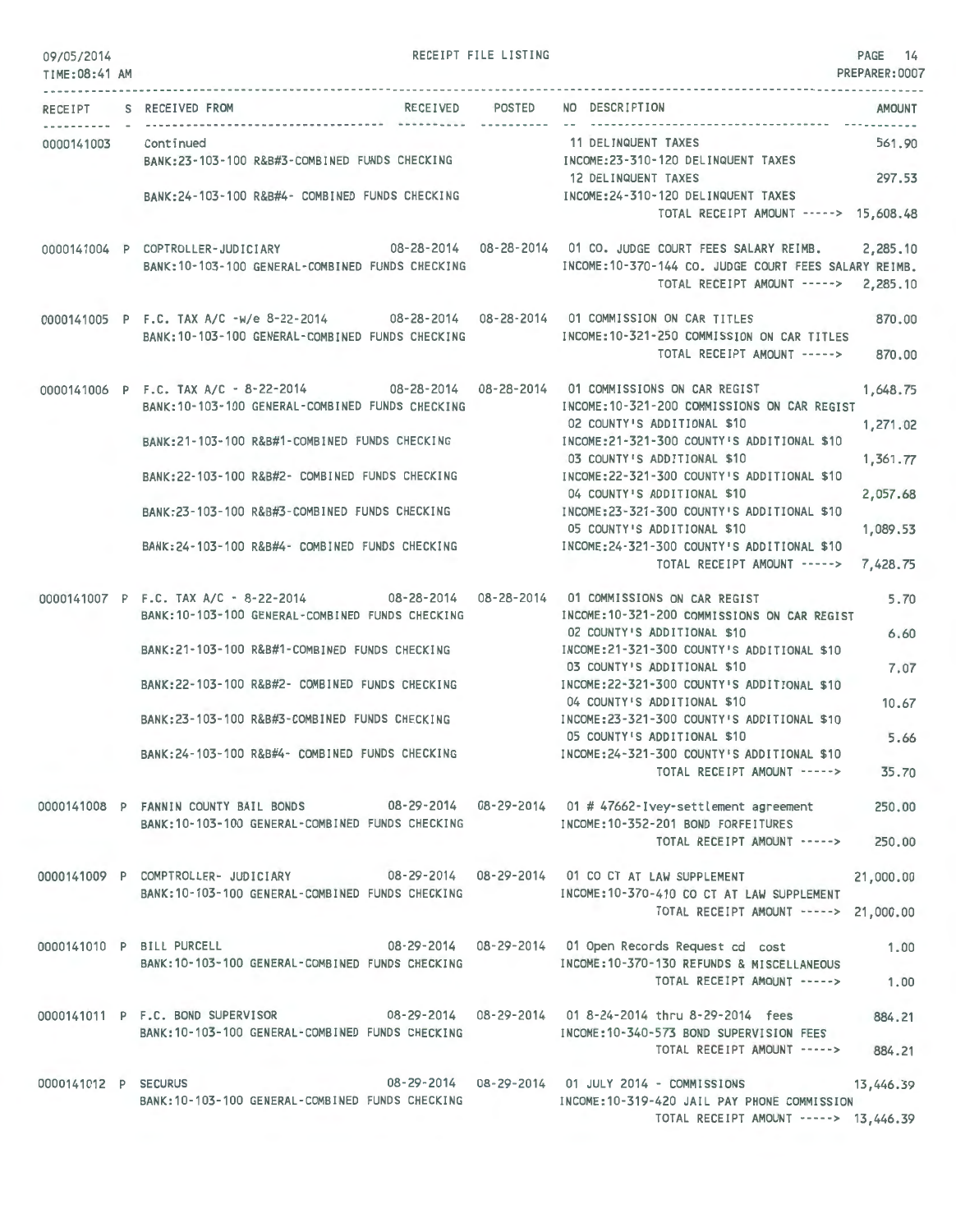| 09/05/2014<br>TIME: 08:41 AM |                                                                                                                                                                                                                                                                                                                                                    | RECEIPT FILE LISTING |                                                                                                                                                                                                                                                                                                                                                                                                       | PAGE 14<br>PREPARER: 0007             |
|------------------------------|----------------------------------------------------------------------------------------------------------------------------------------------------------------------------------------------------------------------------------------------------------------------------------------------------------------------------------------------------|----------------------|-------------------------------------------------------------------------------------------------------------------------------------------------------------------------------------------------------------------------------------------------------------------------------------------------------------------------------------------------------------------------------------------------------|---------------------------------------|
|                              | RECEIPT S RECEIVED FROM                                                                                                                                                                                                                                                                                                                            |                      | RECEIVED POSTED NO DESCRIPTION                                                                                                                                                                                                                                                                                                                                                                        | <b>AMOUNT</b>                         |
| 0000141003 Continued         | BANK:23-103-100 R&B#3-COMBINED FUNDS CHECKING MANUSIC INCOME:23-310-120 DELINQUENT TAXES<br>BANK:24-103-100 R&B#4- COMBINED FUNDS CHECKING                                                                                                                                                                                                         | -----------          | 11 DELINQUENT TAXES<br>12 DELINQUENT TAXES<br>INCOME: 24-310-120 DELINQUENT TAXES                                                                                                                                                                                                                                                                                                                     | 561.90<br>297.53                      |
|                              | 0000141004 P COPTROLLER-JUDICIARY 08-28-2014 08-28-2014 01 CO. JUDGE COURT FEES SALARY REIMB.<br>BANK: 10-103-100 GENERAL-COMBINED FUNDS CHECKING                                                                                                                                                                                                  |                      | TOTAL RECEIPT AMOUNT -----> 15,608.48<br>INCOME: 10-370-144 CO. JUDGE COURT FEES SALARY REIMB.                                                                                                                                                                                                                                                                                                        | 2,285,10                              |
|                              | 0000141005 P F.C. TAX A/C -w/e 8-22-2014 08-28-2014 08-28-2014 01 COMMISSION ON CAR TITLES<br>BANK: 10-103-100 GENERAL-COMBINED FUNDS CHECKING                                                                                                                                                                                                     |                      | TOTAL RECEIPT AMOUNT -----> 2,285.10<br>INCOME:10-321-250 COMMISSION ON CAR TITLES<br>TOTAL RECEIPT AMOUNT -----> 870.00                                                                                                                                                                                                                                                                              | 870,00                                |
|                              | 0000141006 P F.C. TAX A/C - 8-22-2014 08-28-2014 08-28-2014 01 COMMISSIONS ON CAR REGIST<br>BANK: 10-103-100 GENERAL-COMBINED FUNDS CHECKING<br>BANK:21-103-100 R&B#1-COMBINED FUNDS CHECKING                                                                                                                                                      |                      | INCOME: 10-321-200 COMMISSIONS ON CAR REGIST<br>02 COUNTY'S ADDITIONAL \$10<br>INCOME:21-321-300 COUNTY'S ADDITIONAL \$10<br>03 COUNTY'S ADDITIONAL \$10                                                                                                                                                                                                                                              | 1,648.75<br>1,271.02<br>1,361.77      |
|                              | BANK:22-103-100 R&B#2- COMBINED FUNDS CHECKING<br>BANK:23-103-100 R&B#3-COMBINED FUNDS CHECKING                                                                                                                                                                                                                                                    |                      | INCOME:22-321-300 COUNTY'S ADDITIONAL \$10<br>04 COUNTY'S ADDITIONAL \$10<br>INCOME:23-321-300 COUNTY'S ADDITIONAL \$10                                                                                                                                                                                                                                                                               | 2,057.68                              |
|                              | BANK:24-103-100 R&B#4- COMBINED FUNDS CHECKING                                                                                                                                                                                                                                                                                                     |                      | 05 COUNTY'S ADDITIONAL \$10<br>INCOME:24-321-300 COUNTY'S ADDITIONAL \$10<br>TOTAL RECEIPT AMOUNT -----> 7,428.75                                                                                                                                                                                                                                                                                     | 1,089,53                              |
|                              | 0000141007 P F.C. TAX A/C - 8-22-2014 08-28-2014 08-28-2014 01 COMMISSIONS ON CAR REGIST<br>BANK: 10-103-100 GENERAL-COMBINED FUNDS CHECKING<br>BANK:21-103-100 R&B#1-COMBINED FUNDS CHECKING<br>BANK:22-103-100 R&B#2- COMBINED FUNDS CHECKING<br>BANK:23-103-100 R&B#3-COMBINED FUNDS CHECKING<br>BANK:24-103-100 R&B#4- COMBINED FUNDS CHECKING |                      | INCOME:10-321-200 COMMISSIONS ON CAR REGIST<br>02 COUNTY'S ADDITIONAL \$10<br>INCOME:21-321-300 COUNTY'S ADDITIONAL \$10<br>03 COUNTY'S ADDITIONAL \$10<br>INCOME:22-321-300 COUNTY'S ADDITIONAL \$10<br>04 COUNTY'S ADDITIONAL \$10<br>INCOME: 23-321-300 COUNTY'S ADDITIONAL \$10<br>05 COUNTY'S ADDITIONAL \$10<br>INCOME:24-321-300 COUNTY'S ADDITIONAL \$10<br>TOTAL RECEIPT AMOUNT -----> 35.70 | 5.70<br>6.60<br>7.07<br>10.67<br>5.66 |
|                              | 0000141008 P FANNIN COUNTY BAIL BONDS 08-29-2014 08-29-2014 01 #47662-Ivey-settlement agreement<br>BANK:10-103-100 GENERAL-COMBINED FUNDS CHECKING MODE:10-352-201 BOND FORFEITURES                                                                                                                                                                |                      | TOTAL RECEIPT AMOUNT -----> 250.00                                                                                                                                                                                                                                                                                                                                                                    | 250,00                                |
|                              | 0000141009 P COMPTROLLER- JUDICIARY 08-29-2014 08-29-2014 01 CO CT AT LAW SUPPLEMENT 21,000.00<br>BANK:10-103-100 GENERAL-COMBINED FUNDS CHECKING MANUSIC RESONANCE:10-370-410 CO CT AT LAW SUPPLEMENT                                                                                                                                             |                      | TOTAL RECEIPT AMOUNT -----> 21,000.00                                                                                                                                                                                                                                                                                                                                                                 |                                       |
|                              | 0000141010 P BILL PURCELL 08-29-2014 08-29-2014 01 Open Records Request cd cost<br>BANK:10-103-100 GENERAL-COMBINED FUNDS CHECKING MODE:10-370-130 REFUNDS & MISCELLANEOUS                                                                                                                                                                         |                      | TOTAL RECEIPT AMOUNT -----> 1.00                                                                                                                                                                                                                                                                                                                                                                      | 1.00                                  |
|                              | 0000141011 P F.C. BOND SUPERVISOR 08-29-2014 08-29-2014 01 8-24-2014 thru 8-29-2014 fees<br>BANK:10-103-100 GENERAL-COMBINED FUNDS CHECKING MODE:10-340-573 BOND SUPERVISION FEES                                                                                                                                                                  |                      | TOTAL RECEIPT AMOUNT -----> 884.21                                                                                                                                                                                                                                                                                                                                                                    | 884.21                                |
|                              | 0000141012 P SECURUS 08-29-2014 08-29-2014 01 JULY 2014 - COMMISSIONS 13,446.39<br>BANK: 10-103-100 GENERAL-COMBINED FUNDS CHECKING                                                                                                                                                                                                                |                      | INCOME:10-319-420 JAIL PAY PHONE COMMISSION<br>TOTAL RECEIPT AMOUNT -----> 13,446.39                                                                                                                                                                                                                                                                                                                  |                                       |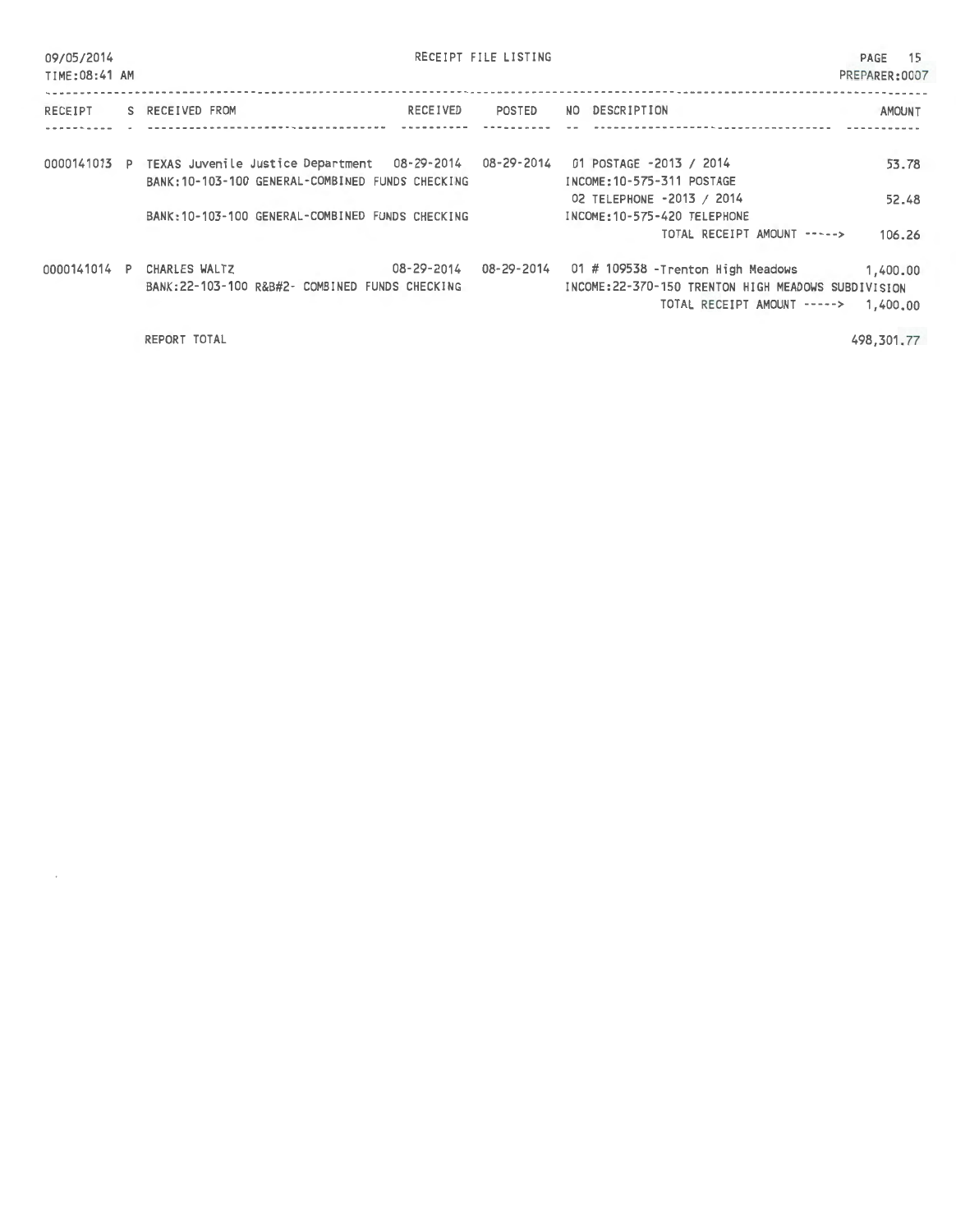| 09/05/2014<br>TIME: 08:41 AM |                                                                                                             | RECEIPT FILE LISTING                                                                                                                            | - 15<br>PAGE<br>PREPARER:0007 |
|------------------------------|-------------------------------------------------------------------------------------------------------------|-------------------------------------------------------------------------------------------------------------------------------------------------|-------------------------------|
| RECEIPT                      | S RECEIVED FROM<br>RECEIVED                                                                                 | DESCRIPTION<br>POSTED<br>NO.                                                                                                                    | <b>AMOUNT</b>                 |
| 0000141013 P                 | TEXAS Juvenile Justice Department 08-29-2014 08-29-2014<br>BANK: 10-103-100 GENERAL-COMBINED FUNDS CHECKING | 01 POSTAGE -2013 / 2014<br>INCOME: 10-575-311 POSTAGE                                                                                           | 53.78                         |
|                              | BANK: 10-103-100 GENERAL-COMBINED FUNDS CHECKING                                                            | 02 TELEPHONE -2013 / 2014<br>INCOME: 10-575-420 TELEPHONE<br>TOTAL RECEIPT AMOUNT ----->                                                        | 52.48<br>106.26               |
| 0000141014 P                 | 08-29-2014<br>CHARLES WALTZ<br>BANK:22-103-100 R&B#2- COMBINED FUNDS CHECKING                               | 08-29-2014<br>01 # 109538 - Trenton High Meadows<br>INCOME: 22-370-150 TRENTON HIGH MEADOWS SUBDIVISION<br>TOTAL RECEIPT AMOUNT -----> 1,400.00 | 1,400.00                      |
|                              |                                                                                                             |                                                                                                                                                 |                               |

REPORT TOTAL

 $\overline{\phantom{a}}$ 

498,301.77